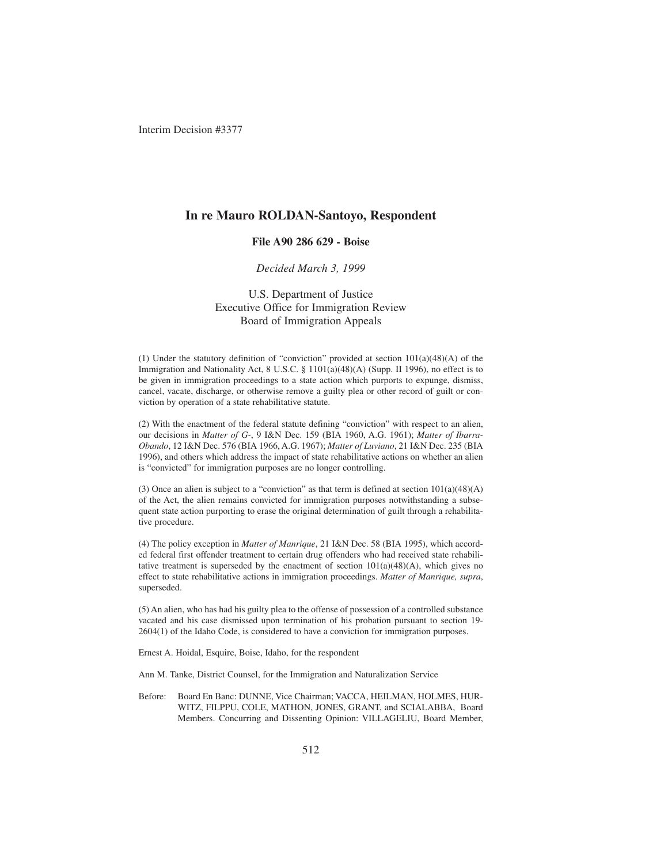## **In re Mauro ROLDAN-Santoyo, Respondent**

## **File A90 286 629 - Boise**

### *Decided March 3, 1999*

## U.S. Department of Justice Executive Office for Immigration Review Board of Immigration Appeals

(1) Under the statutory definition of "conviction" provided at section 101(a)(48)(A) of the Immigration and Nationality Act, 8 U.S.C. § 1101(a)(48)(A) (Supp. II 1996), no effect is to be given in immigration proceedings to a state action which purports to expunge, dismiss, cancel, vacate, discharge, or otherwise remove a guilty plea or other record of guilt or conviction by operation of a state rehabilitative statute.

(2) With the enactment of the federal statute defining "conviction" with respect to an alien, our decisions in *Matter of G-*, 9 I&N Dec. 159 (BIA 1960, A.G. 1961); *Matter of Ibarra-Obando*, 12 I&N Dec. 576 (BIA 1966, A.G. 1967); *Matter of Luviano*, 21 I&N Dec. 235 (BIA 1996), and others which address the impact of state rehabilitative actions on whether an alien is "convicted" for immigration purposes are no longer controlling.

(3) Once an alien is subject to a "conviction" as that term is defined at section  $101(a)(48)(A)$ of the Act, the alien remains convicted for immigration purposes notwithstanding a subsequent state action purporting to erase the original determination of guilt through a rehabilitative procedure.

(4) The policy exception in *Matter of Manrique*, 21 I&N Dec. 58 (BIA 1995), which accorded federal first offender treatment to certain drug offenders who had received state rehabilitative treatment is superseded by the enactment of section  $101(a)(48)(A)$ , which gives no effect to state rehabilitative actions in immigration proceedings. *Matter of Manrique, supra*, superseded.

(5) An alien, who has had his guilty plea to the offense of possession of a controlled substance vacated and his case dismissed upon termination of his probation pursuant to section 19- 2604(1) of the Idaho Code, is considered to have a conviction for immigration purposes.

Ernest A. Hoidal, Esquire, Boise, Idaho, for the respondent

Ann M. Tanke, District Counsel, for the Immigration and Naturalization Service

Before: Board En Banc: DUNNE, Vice Chairman; VACCA, HEILMAN, HOLMES, HUR-WITZ, FILPPU, COLE, MATHON, JONES, GRANT, and SCIALABBA, Board Members. Concurring and Dissenting Opinion: VILLAGELIU, Board Member,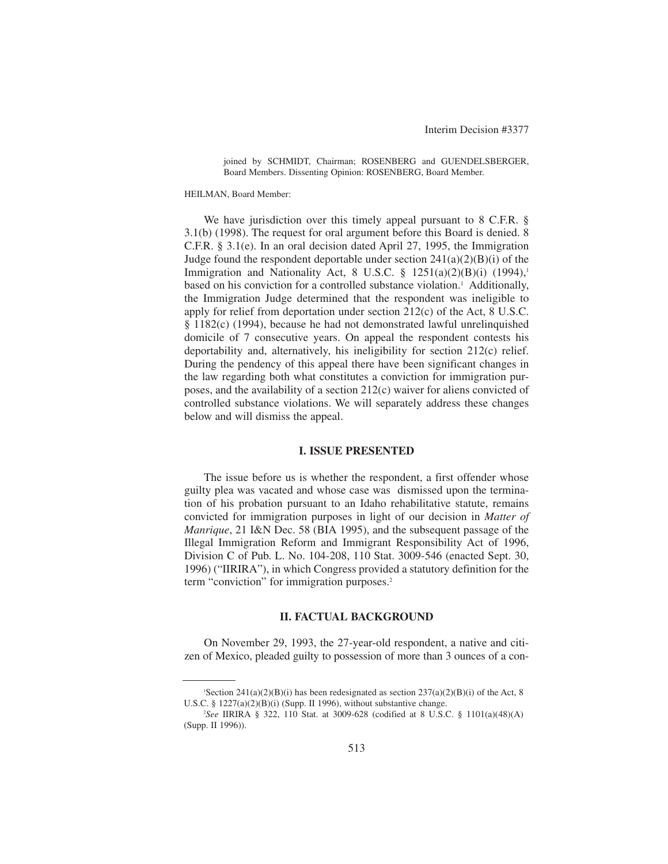joined by SCHMIDT, Chairman; ROSENBERG and GUENDELSBERGER, Board Members. Dissenting Opinion: ROSENBERG, Board Member.

HEILMAN, Board Member:

We have jurisdiction over this timely appeal pursuant to 8 C.F.R. § 3.1(b) (1998). The request for oral argument before this Board is denied. 8 C.F.R. § 3.1(e). In an oral decision dated April 27, 1995, the Immigration Judge found the respondent deportable under section  $241(a)(2)(B)(i)$  of the Immigration and Nationality Act, 8 U.S.C.  $\S$  1251(a)(2)(B)(i) (1994),<sup>1</sup> based on his conviction for a controlled substance violation.<sup>1</sup> Additionally, the Immigration Judge determined that the respondent was ineligible to apply for relief from deportation under section 212(c) of the Act, 8 U.S.C. § 1182(c) (1994), because he had not demonstrated lawful unrelinquished domicile of 7 consecutive years. On appeal the respondent contests his deportability and, alternatively, his ineligibility for section 212(c) relief. During the pendency of this appeal there have been significant changes in the law regarding both what constitutes a conviction for immigration purposes, and the availability of a section 212(c) waiver for aliens convicted of controlled substance violations. We will separately address these changes below and will dismiss the appeal.

### **I. ISSUE PRESENTED**

The issue before us is whether the respondent, a first offender whose guilty plea was vacated and whose case was dismissed upon the termination of his probation pursuant to an Idaho rehabilitative statute, remains convicted for immigration purposes in light of our decision in *Matter of Manrique*, 21 I&N Dec. 58 (BIA 1995), and the subsequent passage of the Illegal Immigration Reform and Immigrant Responsibility Act of 1996, Division C of Pub. L. No. 104-208, 110 Stat. 3009-546 (enacted Sept. 30, 1996) ("IIRIRA"), in which Congress provided a statutory definition for the term "conviction" for immigration purposes.<sup>2</sup>

## **II. FACTUAL BACKGROUND**

On November 29, 1993, the 27-year-old respondent, a native and citizen of Mexico, pleaded guilty to possession of more than 3 ounces of a con-

<sup>&</sup>lt;sup>1</sup>Section 241(a)(2)(B)(i) has been redesignated as section 237(a)(2)(B)(i) of the Act, 8 U.S.C. § 1227(a)(2)(B)(i) (Supp. II 1996), without substantive change.

<sup>2</sup> *See* IIRIRA § 322, 110 Stat. at 3009-628 (codified at 8 U.S.C. § 1101(a)(48)(A) (Supp. II 1996)).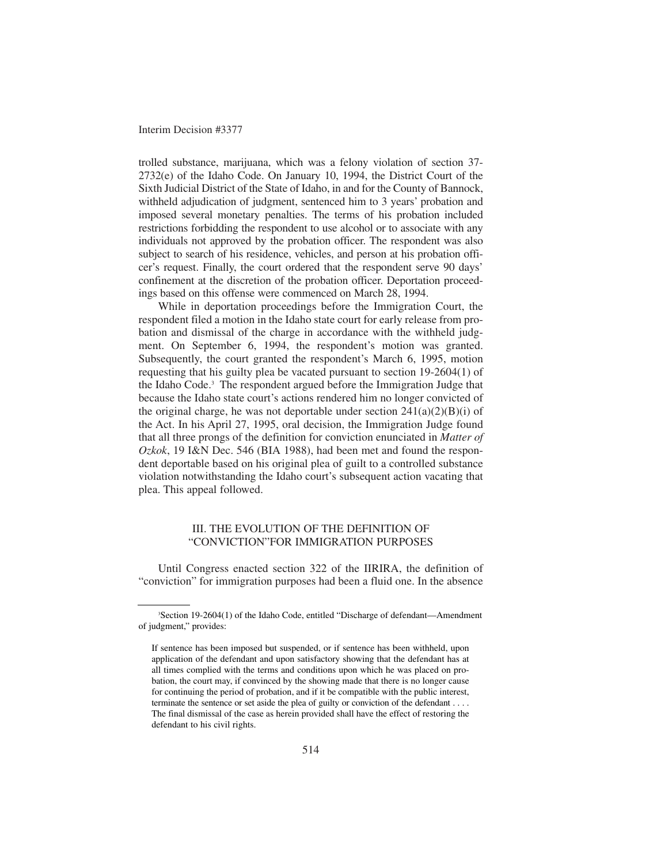trolled substance, marijuana, which was a felony violation of section 37- 2732(e) of the Idaho Code. On January 10, 1994, the District Court of the Sixth Judicial District of the State of Idaho, in and for the County of Bannock, withheld adjudication of judgment, sentenced him to 3 years' probation and imposed several monetary penalties. The terms of his probation included restrictions forbidding the respondent to use alcohol or to associate with any individuals not approved by the probation officer. The respondent was also subject to search of his residence, vehicles, and person at his probation officer's request. Finally, the court ordered that the respondent serve 90 days' confinement at the discretion of the probation officer. Deportation proceedings based on this offense were commenced on March 28, 1994.

While in deportation proceedings before the Immigration Court, the respondent filed a motion in the Idaho state court for early release from probation and dismissal of the charge in accordance with the withheld judgment. On September 6, 1994, the respondent's motion was granted. Subsequently, the court granted the respondent's March 6, 1995, motion requesting that his guilty plea be vacated pursuant to section 19-2604(1) of the Idaho Code.3 The respondent argued before the Immigration Judge that because the Idaho state court's actions rendered him no longer convicted of the original charge, he was not deportable under section  $241(a)(2)(B)(i)$  of the Act. In his April 27, 1995, oral decision, the Immigration Judge found that all three prongs of the definition for conviction enunciated in *Matter of Ozkok*, 19 I&N Dec. 546 (BIA 1988), had been met and found the respondent deportable based on his original plea of guilt to a controlled substance violation notwithstanding the Idaho court's subsequent action vacating that plea. This appeal followed.

## III. THE EVOLUTION OF THE DEFINITION OF "CONVICTION"FOR IMMIGRATION PURPOSES

Until Congress enacted section 322 of the IIRIRA, the definition of "conviction" for immigration purposes had been a fluid one. In the absence

<sup>3</sup> Section 19-2604(1) of the Idaho Code, entitled "Discharge of defendant—Amendment of judgment," provides:

If sentence has been imposed but suspended, or if sentence has been withheld, upon application of the defendant and upon satisfactory showing that the defendant has at all times complied with the terms and conditions upon which he was placed on probation, the court may, if convinced by the showing made that there is no longer cause for continuing the period of probation, and if it be compatible with the public interest, terminate the sentence or set aside the plea of guilty or conviction of the defendant . . . . The final dismissal of the case as herein provided shall have the effect of restoring the defendant to his civil rights.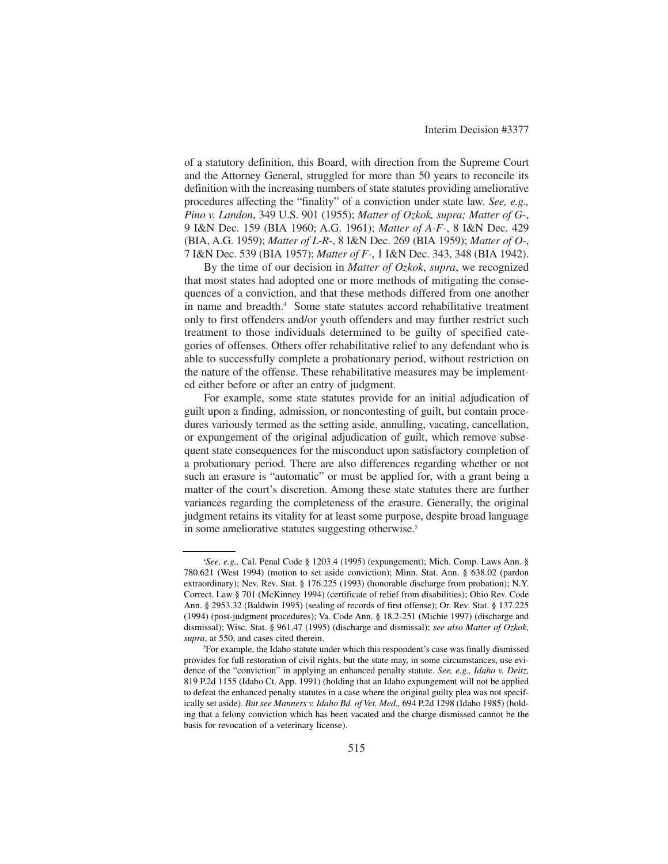of a statutory definition, this Board, with direction from the Supreme Court and the Attorney General, struggled for more than 50 years to reconcile its definition with the increasing numbers of state statutes providing ameliorative procedures affecting the "finality" of a conviction under state law. *See, e.g., Pino v. Landon*, 349 U.S. 901 (1955); *Matter of Ozkok, supra; Matter of G-*, 9 I&N Dec. 159 (BIA 1960; A.G. 1961); *Matter of A-F-*, 8 I&N Dec. 429 (BIA, A.G. 1959); *Matter of L-R-*, 8 I&N Dec. 269 (BIA 1959); *Matter of O-*, 7 I&N Dec. 539 (BIA 1957); *Matter of F-*, 1 I&N Dec. 343, 348 (BIA 1942).

By the time of our decision in *Matter of Ozkok*, *supra*, we recognized that most states had adopted one or more methods of mitigating the consequences of a conviction, and that these methods differed from one another in name and breadth.<sup>4</sup> Some state statutes accord rehabilitative treatment only to first offenders and/or youth offenders and may further restrict such treatment to those individuals determined to be guilty of specified categories of offenses. Others offer rehabilitative relief to any defendant who is able to successfully complete a probationary period, without restriction on the nature of the offense. These rehabilitative measures may be implemented either before or after an entry of judgment.

For example, some state statutes provide for an initial adjudication of guilt upon a finding, admission, or noncontesting of guilt, but contain procedures variously termed as the setting aside, annulling, vacating, cancellation, or expungement of the original adjudication of guilt, which remove subsequent state consequences for the misconduct upon satisfactory completion of a probationary period. There are also differences regarding whether or not such an erasure is "automatic" or must be applied for, with a grant being a matter of the court's discretion. Among these state statutes there are further variances regarding the completeness of the erasure. Generally, the original judgment retains its vitality for at least some purpose, despite broad language in some ameliorative statutes suggesting otherwise.<sup>5</sup>

<sup>4</sup> *See, e.g.,* Cal. Penal Code § 1203.4 (1995) (expungement); Mich. Comp. Laws Ann. § 780.621 (West 1994) (motion to set aside conviction); Minn. Stat. Ann. § 638.02 (pardon extraordinary); Nev. Rev. Stat. § 176.225 (1993) (honorable discharge from probation); N.Y. Correct. Law § 701 (McKinney 1994) (certificate of relief from disabilities); Ohio Rev. Code Ann. § 2953.32 (Baldwin 1995) (sealing of records of first offense); Or. Rev. Stat. § 137.225 (1994) (post-judgment procedures); Va. Code Ann. § 18.2-251 (Michie 1997) (discharge and dismissal); Wisc. Stat. § 961.47 (1995) (discharge and dismissal); *see also Matter of Ozkok, supra*, at 550, and cases cited therein.

<sup>5</sup> For example, the Idaho statute under which this respondent's case was finally dismissed provides for full restoration of civil rights, but the state may, in some circumstances, use evidence of the "conviction" in applying an enhanced penalty statute. *See, e.g., Idaho v. Deitz,* 819 P.2d 1155 (Idaho Ct. App. 1991) (holding that an Idaho expungement will not be applied to defeat the enhanced penalty statutes in a case where the original guilty plea was not specifically set aside). *But see Manners v. Idaho Bd. of Vet. Med.,* 694 P.2d 1298 (Idaho 1985) (holding that a felony conviction which has been vacated and the charge dismissed cannot be the basis for revocation of a veterinary license).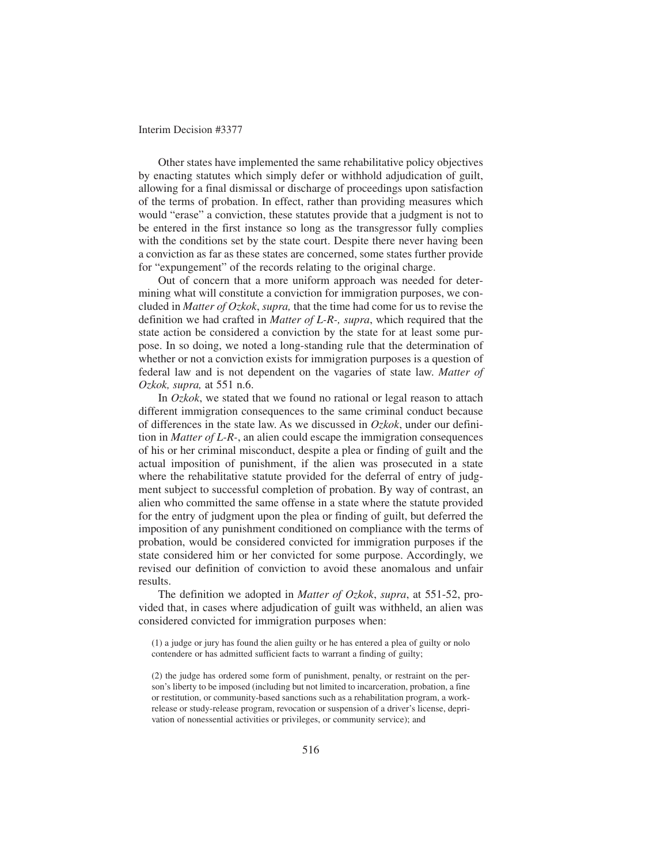Other states have implemented the same rehabilitative policy objectives by enacting statutes which simply defer or withhold adjudication of guilt, allowing for a final dismissal or discharge of proceedings upon satisfaction of the terms of probation. In effect, rather than providing measures which would "erase" a conviction, these statutes provide that a judgment is not to be entered in the first instance so long as the transgressor fully complies with the conditions set by the state court. Despite there never having been a conviction as far as these states are concerned, some states further provide for "expungement" of the records relating to the original charge.

Out of concern that a more uniform approach was needed for determining what will constitute a conviction for immigration purposes, we concluded in *Matter of Ozkok*, *supra,* that the time had come for us to revise the definition we had crafted in *Matter of L-R-, supra*, which required that the state action be considered a conviction by the state for at least some purpose. In so doing, we noted a long-standing rule that the determination of whether or not a conviction exists for immigration purposes is a question of federal law and is not dependent on the vagaries of state law. *Matter of Ozkok, supra,* at 551 n.6.

In *Ozkok*, we stated that we found no rational or legal reason to attach different immigration consequences to the same criminal conduct because of differences in the state law. As we discussed in *Ozkok*, under our definition in *Matter of L-R-*, an alien could escape the immigration consequences of his or her criminal misconduct, despite a plea or finding of guilt and the actual imposition of punishment, if the alien was prosecuted in a state where the rehabilitative statute provided for the deferral of entry of judgment subject to successful completion of probation. By way of contrast, an alien who committed the same offense in a state where the statute provided for the entry of judgment upon the plea or finding of guilt, but deferred the imposition of any punishment conditioned on compliance with the terms of probation, would be considered convicted for immigration purposes if the state considered him or her convicted for some purpose. Accordingly, we revised our definition of conviction to avoid these anomalous and unfair results.

The definition we adopted in *Matter of Ozkok*, *supra*, at 551-52, provided that, in cases where adjudication of guilt was withheld, an alien was considered convicted for immigration purposes when:

<sup>(1)</sup> a judge or jury has found the alien guilty or he has entered a plea of guilty or nolo contendere or has admitted sufficient facts to warrant a finding of guilty;

<sup>(2)</sup> the judge has ordered some form of punishment, penalty, or restraint on the person's liberty to be imposed (including but not limited to incarceration, probation, a fine or restitution, or community-based sanctions such as a rehabilitation program, a workrelease or study-release program, revocation or suspension of a driver's license, deprivation of nonessential activities or privileges, or community service); and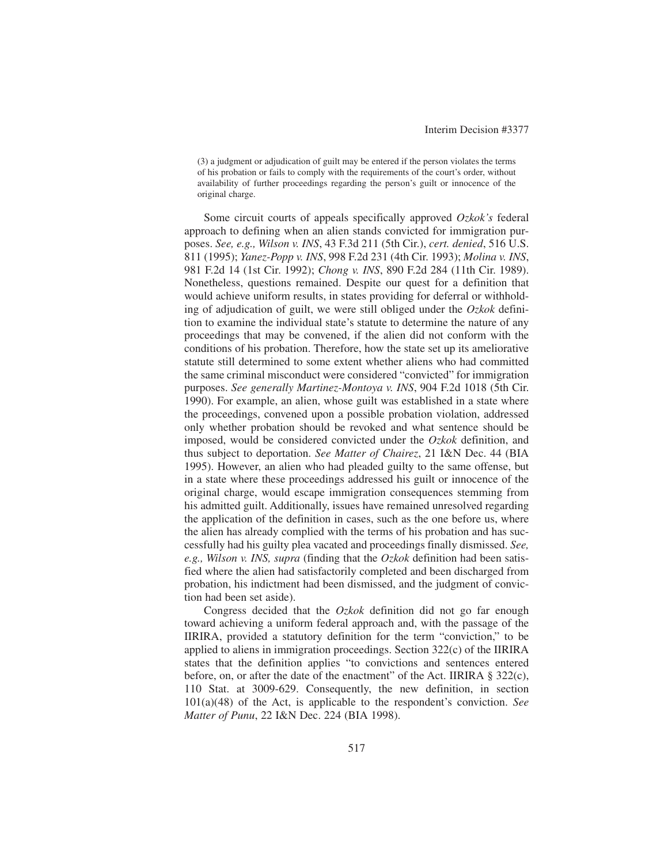(3) a judgment or adjudication of guilt may be entered if the person violates the terms of his probation or fails to comply with the requirements of the court's order, without availability of further proceedings regarding the person's guilt or innocence of the original charge.

Some circuit courts of appeals specifically approved *Ozkok's* federal approach to defining when an alien stands convicted for immigration purposes. *See, e.g., Wilson v. INS*, 43 F.3d 211 (5th Cir.), *cert. denied*, 516 U.S. 811 (1995); *Yanez-Popp v. INS*, 998 F.2d 231 (4th Cir. 1993); *Molina v. INS*, 981 F.2d 14 (1st Cir. 1992); *Chong v. INS*, 890 F.2d 284 (11th Cir. 1989). Nonetheless, questions remained. Despite our quest for a definition that would achieve uniform results, in states providing for deferral or withholding of adjudication of guilt, we were still obliged under the *Ozkok* definition to examine the individual state's statute to determine the nature of any proceedings that may be convened, if the alien did not conform with the conditions of his probation. Therefore, how the state set up its ameliorative statute still determined to some extent whether aliens who had committed the same criminal misconduct were considered "convicted" for immigration purposes. *See generally Martinez-Montoya v. INS*, 904 F.2d 1018 (5th Cir. 1990). For example, an alien, whose guilt was established in a state where the proceedings, convened upon a possible probation violation, addressed only whether probation should be revoked and what sentence should be imposed, would be considered convicted under the *Ozkok* definition, and thus subject to deportation. *See Matter of Chairez*, 21 I&N Dec. 44 (BIA 1995). However, an alien who had pleaded guilty to the same offense, but in a state where these proceedings addressed his guilt or innocence of the original charge, would escape immigration consequences stemming from his admitted guilt. Additionally, issues have remained unresolved regarding the application of the definition in cases, such as the one before us, where the alien has already complied with the terms of his probation and has successfully had his guilty plea vacated and proceedings finally dismissed. *See, e.g., Wilson v. INS, supra* (finding that the *Ozkok* definition had been satisfied where the alien had satisfactorily completed and been discharged from probation, his indictment had been dismissed, and the judgment of conviction had been set aside).

Congress decided that the *Ozkok* definition did not go far enough toward achieving a uniform federal approach and, with the passage of the IIRIRA, provided a statutory definition for the term "conviction," to be applied to aliens in immigration proceedings. Section 322(c) of the IIRIRA states that the definition applies "to convictions and sentences entered before, on, or after the date of the enactment" of the Act. IIRIRA § 322(c), 110 Stat. at 3009-629. Consequently, the new definition, in section 101(a)(48) of the Act, is applicable to the respondent's conviction. *See Matter of Punu*, 22 I&N Dec. 224 (BIA 1998).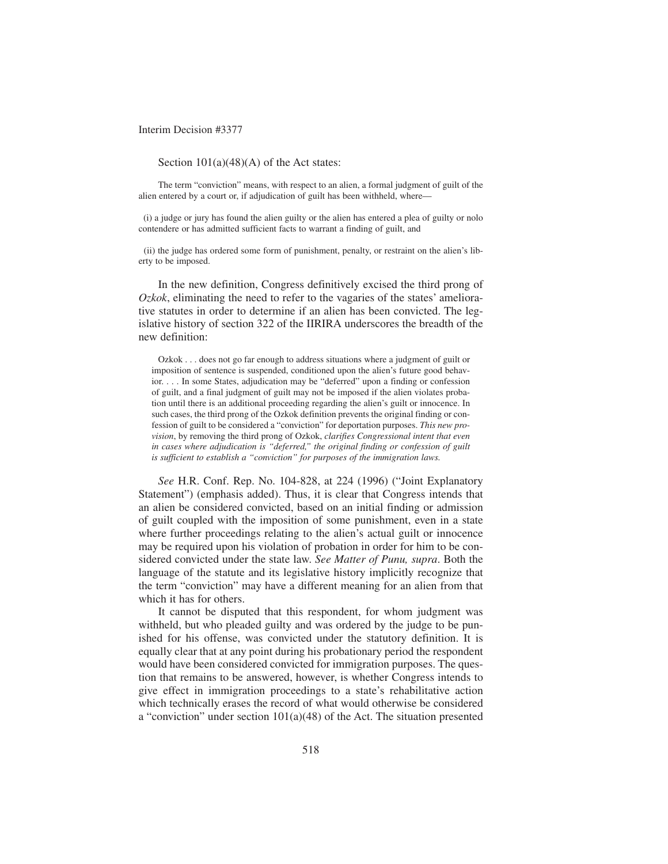Section  $101(a)(48)(A)$  of the Act states:

The term "conviction" means, with respect to an alien, a formal judgment of guilt of the alien entered by a court or, if adjudication of guilt has been withheld, where—

(i) a judge or jury has found the alien guilty or the alien has entered a plea of guilty or nolo contendere or has admitted sufficient facts to warrant a finding of guilt, and

(ii) the judge has ordered some form of punishment, penalty, or restraint on the alien's liberty to be imposed.

In the new definition, Congress definitively excised the third prong of *Ozkok*, eliminating the need to refer to the vagaries of the states' ameliorative statutes in order to determine if an alien has been convicted. The legislative history of section 322 of the IIRIRA underscores the breadth of the new definition:

Ozkok . . . does not go far enough to address situations where a judgment of guilt or imposition of sentence is suspended, conditioned upon the alien's future good behavior. . . . In some States, adjudication may be "deferred" upon a finding or confession of guilt, and a final judgment of guilt may not be imposed if the alien violates probation until there is an additional proceeding regarding the alien's guilt or innocence. In such cases, the third prong of the Ozkok definition prevents the original finding or confession of guilt to be considered a "conviction" for deportation purposes. *This new provision*, by removing the third prong of Ozkok, *clarifies Congressional intent that even in cases where adjudication is "deferred," the original finding or confession of guilt is sufficient to establish a "conviction" for purposes of the immigration laws.*

*See* H.R. Conf. Rep. No. 104-828, at 224 (1996) ("Joint Explanatory Statement") (emphasis added). Thus, it is clear that Congress intends that an alien be considered convicted, based on an initial finding or admission of guilt coupled with the imposition of some punishment, even in a state where further proceedings relating to the alien's actual guilt or innocence may be required upon his violation of probation in order for him to be considered convicted under the state law. *See Matter of Punu, supra*. Both the language of the statute and its legislative history implicitly recognize that the term "conviction" may have a different meaning for an alien from that which it has for others.

It cannot be disputed that this respondent, for whom judgment was withheld, but who pleaded guilty and was ordered by the judge to be punished for his offense, was convicted under the statutory definition. It is equally clear that at any point during his probationary period the respondent would have been considered convicted for immigration purposes. The question that remains to be answered, however, is whether Congress intends to give effect in immigration proceedings to a state's rehabilitative action which technically erases the record of what would otherwise be considered a "conviction" under section 101(a)(48) of the Act. The situation presented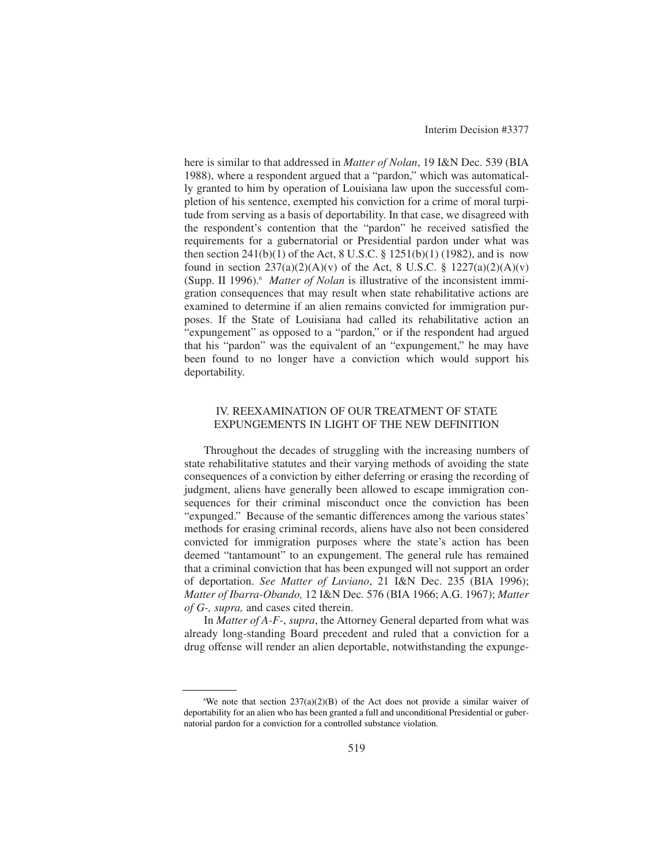here is similar to that addressed in *Matter of Nolan*, 19 I&N Dec. 539 (BIA 1988), where a respondent argued that a "pardon," which was automatically granted to him by operation of Louisiana law upon the successful completion of his sentence, exempted his conviction for a crime of moral turpitude from serving as a basis of deportability. In that case, we disagreed with the respondent's contention that the "pardon" he received satisfied the requirements for a gubernatorial or Presidential pardon under what was then section  $241(b)(1)$  of the Act, 8 U.S.C. § 1251(b)(1) (1982), and is now found in section  $237(a)(2)(A)(v)$  of the Act, 8 U.S.C. § 1227(a)(2)(A)(v) (Supp. II 1996).<sup>6</sup> *Matter of Nolan* is illustrative of the inconsistent immigration consequences that may result when state rehabilitative actions are examined to determine if an alien remains convicted for immigration purposes. If the State of Louisiana had called its rehabilitative action an "expungement" as opposed to a "pardon," or if the respondent had argued that his "pardon" was the equivalent of an "expungement," he may have been found to no longer have a conviction which would support his deportability.

### IV. REEXAMINATION OF OUR TREATMENT OF STATE EXPUNGEMENTS IN LIGHT OF THE NEW DEFINITION

Throughout the decades of struggling with the increasing numbers of state rehabilitative statutes and their varying methods of avoiding the state consequences of a conviction by either deferring or erasing the recording of judgment, aliens have generally been allowed to escape immigration consequences for their criminal misconduct once the conviction has been "expunged." Because of the semantic differences among the various states' methods for erasing criminal records, aliens have also not been considered convicted for immigration purposes where the state's action has been deemed "tantamount" to an expungement. The general rule has remained that a criminal conviction that has been expunged will not support an order of deportation. *See Matter of Luviano*, 21 I&N Dec. 235 (BIA 1996); *Matter of Ibarra-Obando,* 12 I&N Dec*.* 576 (BIA 1966; A.G. 1967); *Matter of G-, supra,* and cases cited therein.

In *Matter of A-F-*, *supra*, the Attorney General departed from what was already long-standing Board precedent and ruled that a conviction for a drug offense will render an alien deportable, notwithstanding the expunge-

We note that section  $237(a)(2)(B)$  of the Act does not provide a similar waiver of deportability for an alien who has been granted a full and unconditional Presidential or gubernatorial pardon for a conviction for a controlled substance violation.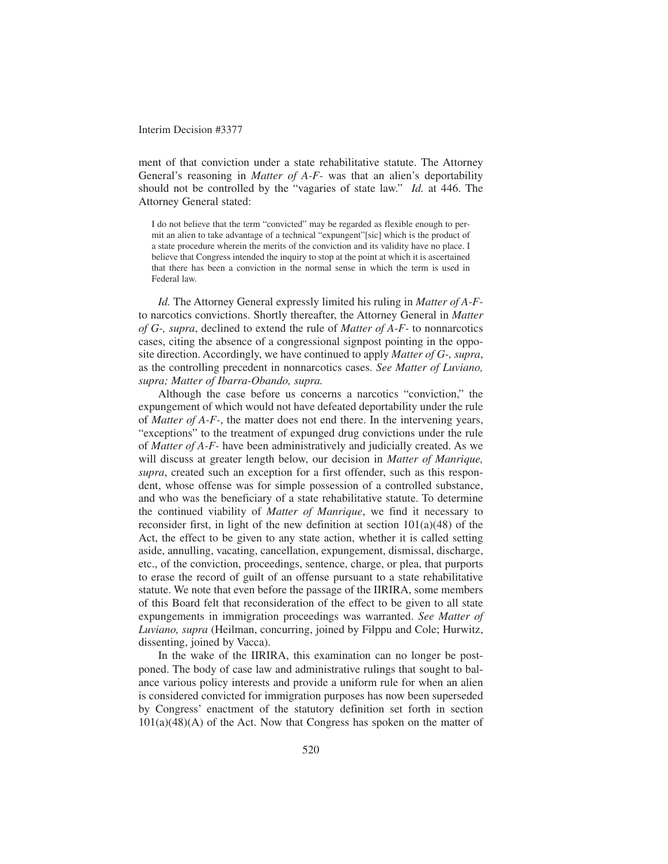ment of that conviction under a state rehabilitative statute. The Attorney General's reasoning in *Matter of A-F-* was that an alien's deportability should not be controlled by the "vagaries of state law." *Id.* at 446. The Attorney General stated:

I do not believe that the term "convicted" may be regarded as flexible enough to permit an alien to take advantage of a technical "expungent"[sic] which is the product of a state procedure wherein the merits of the conviction and its validity have no place. I believe that Congress intended the inquiry to stop at the point at which it is ascertained that there has been a conviction in the normal sense in which the term is used in Federal law.

*Id.* The Attorney General expressly limited his ruling in *Matter of A-F*to narcotics convictions. Shortly thereafter, the Attorney General in *Matter of G-, supra*, declined to extend the rule of *Matter of A-F-* to nonnarcotics cases, citing the absence of a congressional signpost pointing in the opposite direction. Accordingly, we have continued to apply *Matter of G-, supra*, as the controlling precedent in nonnarcotics cases. *See Matter of Luviano, supra; Matter of Ibarra-Obando, supra.*

Although the case before us concerns a narcotics "conviction," the expungement of which would not have defeated deportability under the rule of *Matter of A-F-*, the matter does not end there. In the intervening years, "exceptions" to the treatment of expunged drug convictions under the rule of *Matter of A-F-* have been administratively and judicially created. As we will discuss at greater length below, our decision in *Matter of Manrique, supra*, created such an exception for a first offender, such as this respondent, whose offense was for simple possession of a controlled substance, and who was the beneficiary of a state rehabilitative statute. To determine the continued viability of *Matter of Manrique*, we find it necessary to reconsider first, in light of the new definition at section  $101(a)(48)$  of the Act, the effect to be given to any state action, whether it is called setting aside, annulling, vacating, cancellation, expungement, dismissal, discharge, etc., of the conviction, proceedings, sentence, charge, or plea, that purports to erase the record of guilt of an offense pursuant to a state rehabilitative statute. We note that even before the passage of the IIRIRA, some members of this Board felt that reconsideration of the effect to be given to all state expungements in immigration proceedings was warranted. *See Matter of Luviano, supra* (Heilman, concurring, joined by Filppu and Cole; Hurwitz, dissenting, joined by Vacca).

In the wake of the IIRIRA, this examination can no longer be postponed. The body of case law and administrative rulings that sought to balance various policy interests and provide a uniform rule for when an alien is considered convicted for immigration purposes has now been superseded by Congress' enactment of the statutory definition set forth in section  $101(a)(48)(A)$  of the Act. Now that Congress has spoken on the matter of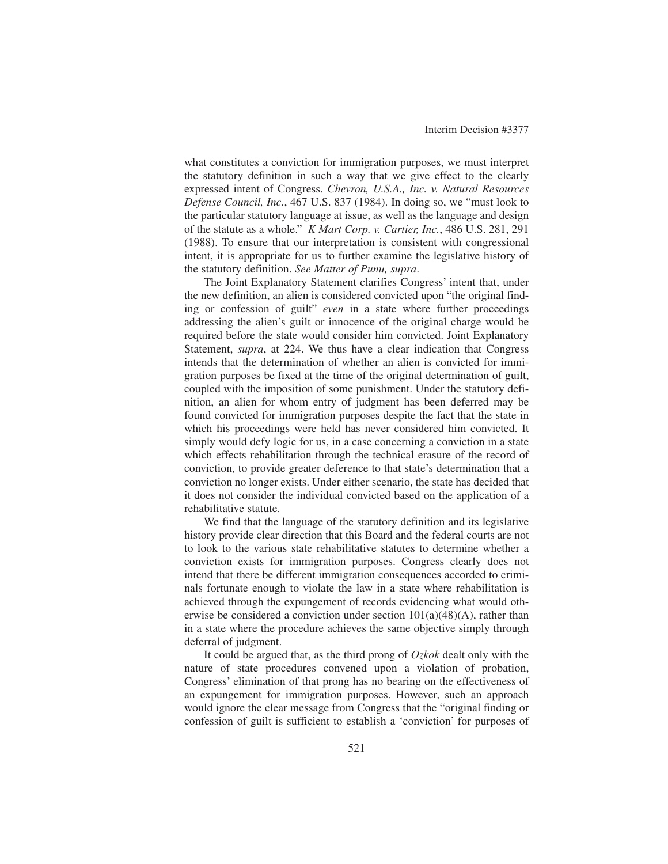what constitutes a conviction for immigration purposes, we must interpret the statutory definition in such a way that we give effect to the clearly expressed intent of Congress. *Chevron, U.S.A., Inc. v. Natural Resources Defense Council, Inc.*, 467 U.S. 837 (1984). In doing so, we "must look to the particular statutory language at issue, as well as the language and design of the statute as a whole." *K Mart Corp. v. Cartier, Inc.*, 486 U.S. 281, 291 (1988). To ensure that our interpretation is consistent with congressional intent, it is appropriate for us to further examine the legislative history of the statutory definition. *See Matter of Punu, supra*.

The Joint Explanatory Statement clarifies Congress' intent that, under the new definition, an alien is considered convicted upon "the original finding or confession of guilt" *even* in a state where further proceedings addressing the alien's guilt or innocence of the original charge would be required before the state would consider him convicted. Joint Explanatory Statement, *supra*, at 224. We thus have a clear indication that Congress intends that the determination of whether an alien is convicted for immigration purposes be fixed at the time of the original determination of guilt, coupled with the imposition of some punishment. Under the statutory definition, an alien for whom entry of judgment has been deferred may be found convicted for immigration purposes despite the fact that the state in which his proceedings were held has never considered him convicted. It simply would defy logic for us, in a case concerning a conviction in a state which effects rehabilitation through the technical erasure of the record of conviction, to provide greater deference to that state's determination that a conviction no longer exists. Under either scenario, the state has decided that it does not consider the individual convicted based on the application of a rehabilitative statute.

We find that the language of the statutory definition and its legislative history provide clear direction that this Board and the federal courts are not to look to the various state rehabilitative statutes to determine whether a conviction exists for immigration purposes. Congress clearly does not intend that there be different immigration consequences accorded to criminals fortunate enough to violate the law in a state where rehabilitation is achieved through the expungement of records evidencing what would otherwise be considered a conviction under section  $101(a)(48)(A)$ , rather than in a state where the procedure achieves the same objective simply through deferral of judgment.

It could be argued that, as the third prong of *Ozkok* dealt only with the nature of state procedures convened upon a violation of probation, Congress' elimination of that prong has no bearing on the effectiveness of an expungement for immigration purposes. However, such an approach would ignore the clear message from Congress that the "original finding or confession of guilt is sufficient to establish a 'conviction' for purposes of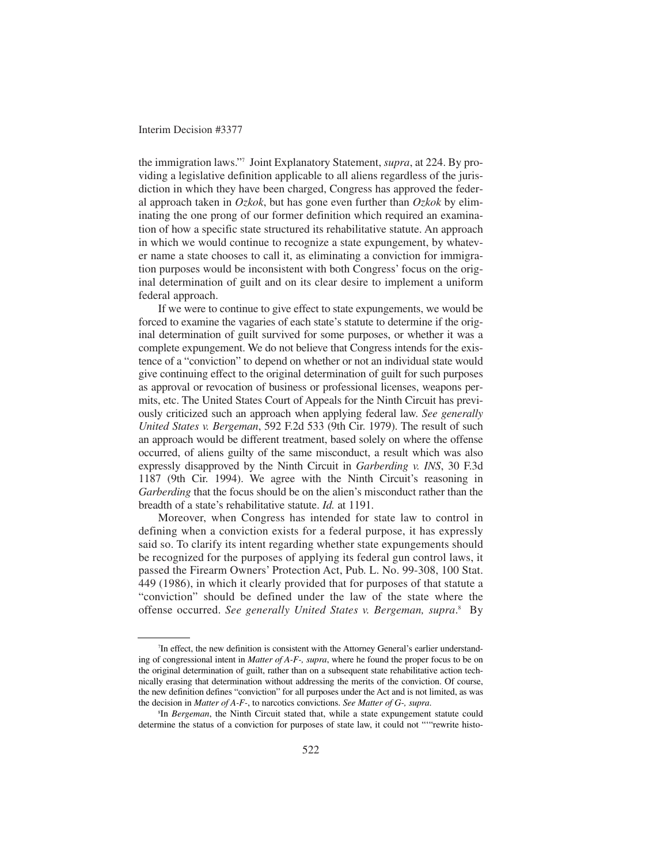the immigration laws."7 Joint Explanatory Statement, *supra*, at 224. By providing a legislative definition applicable to all aliens regardless of the jurisdiction in which they have been charged, Congress has approved the federal approach taken in *Ozkok*, but has gone even further than *Ozkok* by eliminating the one prong of our former definition which required an examination of how a specific state structured its rehabilitative statute. An approach in which we would continue to recognize a state expungement, by whatever name a state chooses to call it, as eliminating a conviction for immigration purposes would be inconsistent with both Congress' focus on the original determination of guilt and on its clear desire to implement a uniform federal approach.

If we were to continue to give effect to state expungements, we would be forced to examine the vagaries of each state's statute to determine if the original determination of guilt survived for some purposes, or whether it was a complete expungement. We do not believe that Congress intends for the existence of a "conviction" to depend on whether or not an individual state would give continuing effect to the original determination of guilt for such purposes as approval or revocation of business or professional licenses, weapons permits, etc. The United States Court of Appeals for the Ninth Circuit has previously criticized such an approach when applying federal law. *See generally United States v. Bergeman*, 592 F.2d 533 (9th Cir. 1979). The result of such an approach would be different treatment, based solely on where the offense occurred, of aliens guilty of the same misconduct, a result which was also expressly disapproved by the Ninth Circuit in *Garberding v. INS*, 30 F.3d 1187 (9th Cir. 1994). We agree with the Ninth Circuit's reasoning in *Garberding* that the focus should be on the alien's misconduct rather than the breadth of a state's rehabilitative statute. *Id.* at 1191.

Moreover, when Congress has intended for state law to control in defining when a conviction exists for a federal purpose, it has expressly said so. To clarify its intent regarding whether state expungements should be recognized for the purposes of applying its federal gun control laws, it passed the Firearm Owners' Protection Act, Pub. L. No. 99-308, 100 Stat. 449 (1986), in which it clearly provided that for purposes of that statute a "conviction" should be defined under the law of the state where the offense occurred. *See generally United States v. Bergeman, supra*. <sup>8</sup> By

<sup>7</sup> In effect, the new definition is consistent with the Attorney General's earlier understanding of congressional intent in *Matter of A-F-, supra*, where he found the proper focus to be on the original determination of guilt, rather than on a subsequent state rehabilitative action technically erasing that determination without addressing the merits of the conviction. Of course, the new definition defines "conviction" for all purposes under the Act and is not limited, as was the decision in *Matter of A-F-*, to narcotics convictions. *See Matter of G-, supra*.

<sup>8</sup> In *Bergeman*, the Ninth Circuit stated that, while a state expungement statute could determine the status of a conviction for purposes of state law, it could not "'"rewrite histo-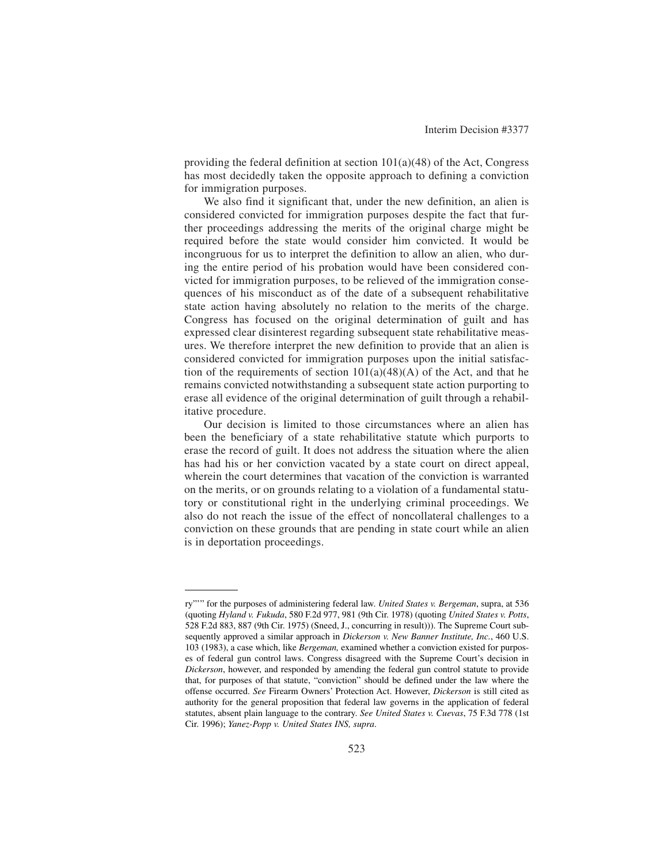providing the federal definition at section 101(a)(48) of the Act, Congress has most decidedly taken the opposite approach to defining a conviction for immigration purposes.

We also find it significant that, under the new definition, an alien is considered convicted for immigration purposes despite the fact that further proceedings addressing the merits of the original charge might be required before the state would consider him convicted. It would be incongruous for us to interpret the definition to allow an alien, who during the entire period of his probation would have been considered convicted for immigration purposes, to be relieved of the immigration consequences of his misconduct as of the date of a subsequent rehabilitative state action having absolutely no relation to the merits of the charge. Congress has focused on the original determination of guilt and has expressed clear disinterest regarding subsequent state rehabilitative measures. We therefore interpret the new definition to provide that an alien is considered convicted for immigration purposes upon the initial satisfaction of the requirements of section  $101(a)(48)(A)$  of the Act, and that he remains convicted notwithstanding a subsequent state action purporting to erase all evidence of the original determination of guilt through a rehabilitative procedure.

Our decision is limited to those circumstances where an alien has been the beneficiary of a state rehabilitative statute which purports to erase the record of guilt. It does not address the situation where the alien has had his or her conviction vacated by a state court on direct appeal, wherein the court determines that vacation of the conviction is warranted on the merits, or on grounds relating to a violation of a fundamental statutory or constitutional right in the underlying criminal proceedings. We also do not reach the issue of the effect of noncollateral challenges to a conviction on these grounds that are pending in state court while an alien is in deportation proceedings.

ry"'" for the purposes of administering federal law. *United States v. Bergeman*, supra, at 536 (quoting *Hyland v. Fukuda*, 580 F.2d 977, 981 (9th Cir. 1978) (quoting *United States v. Potts*, 528 F.2d 883, 887 (9th Cir. 1975) (Sneed, J., concurring in result))). The Supreme Court subsequently approved a similar approach in *Dickerson v. New Banner Institute, Inc.*, 460 U.S. 103 (1983), a case which, like *Bergeman,* examined whether a conviction existed for purposes of federal gun control laws. Congress disagreed with the Supreme Court's decision in *Dickerson*, however, and responded by amending the federal gun control statute to provide that, for purposes of that statute, "conviction" should be defined under the law where the offense occurred. *See* Firearm Owners' Protection Act. However, *Dickerson* is still cited as authority for the general proposition that federal law governs in the application of federal statutes, absent plain language to the contrary. *See United States v. Cuevas*, 75 F.3d 778 (1st Cir. 1996); *Yanez-Popp v. United States INS, supra*.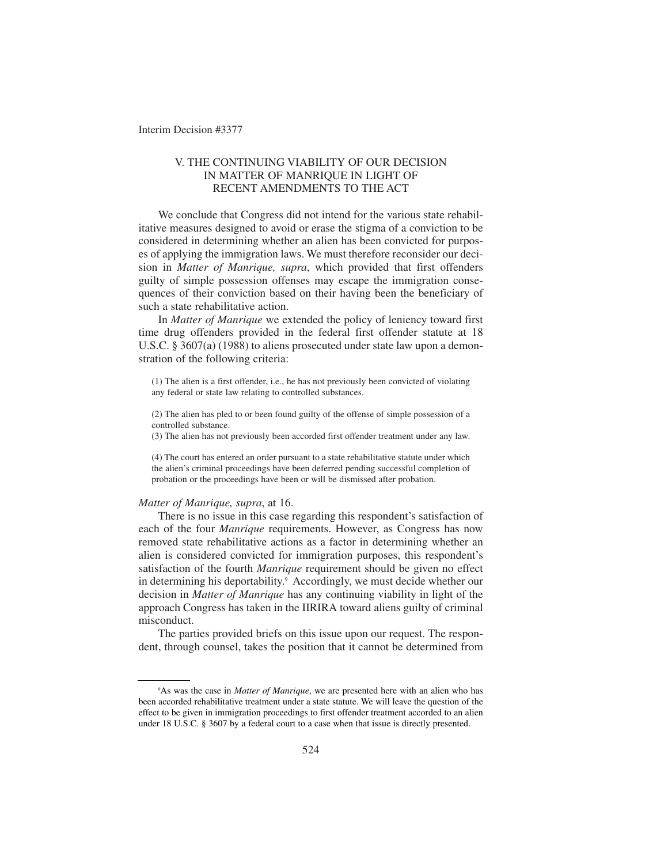## V. THE CONTINUING VIABILITY OF OUR DECISION IN MATTER OF MANRIQUE IN LIGHT OF RECENT AMENDMENTS TO THE ACT

We conclude that Congress did not intend for the various state rehabilitative measures designed to avoid or erase the stigma of a conviction to be considered in determining whether an alien has been convicted for purposes of applying the immigration laws. We must therefore reconsider our decision in *Matter of Manrique, supra*, which provided that first offenders guilty of simple possession offenses may escape the immigration consequences of their conviction based on their having been the beneficiary of such a state rehabilitative action.

In *Matter of Manrique* we extended the policy of leniency toward first time drug offenders provided in the federal first offender statute at 18 U.S.C. § 3607(a) (1988) to aliens prosecuted under state law upon a demonstration of the following criteria:

(1) The alien is a first offender, i.e., he has not previously been convicted of violating any federal or state law relating to controlled substances.

(2) The alien has pled to or been found guilty of the offense of simple possession of a controlled substance.

(3) The alien has not previously been accorded first offender treatment under any law.

(4) The court has entered an order pursuant to a state rehabilitative statute under which the alien's criminal proceedings have been deferred pending successful completion of probation or the proceedings have been or will be dismissed after probation.

### *Matter of Manrique, supra*, at 16.

There is no issue in this case regarding this respondent's satisfaction of each of the four *Manrique* requirements. However, as Congress has now removed state rehabilitative actions as a factor in determining whether an alien is considered convicted for immigration purposes, this respondent's satisfaction of the fourth *Manrique* requirement should be given no effect in determining his deportability.<sup>9</sup> Accordingly, we must decide whether our decision in *Matter of Manrique* has any continuing viability in light of the approach Congress has taken in the IIRIRA toward aliens guilty of criminal misconduct.

The parties provided briefs on this issue upon our request. The respondent, through counsel, takes the position that it cannot be determined from

<sup>9</sup> As was the case in *Matter of Manrique*, we are presented here with an alien who has been accorded rehabilitative treatment under a state statute. We will leave the question of the effect to be given in immigration proceedings to first offender treatment accorded to an alien under 18 U.S.C. § 3607 by a federal court to a case when that issue is directly presented.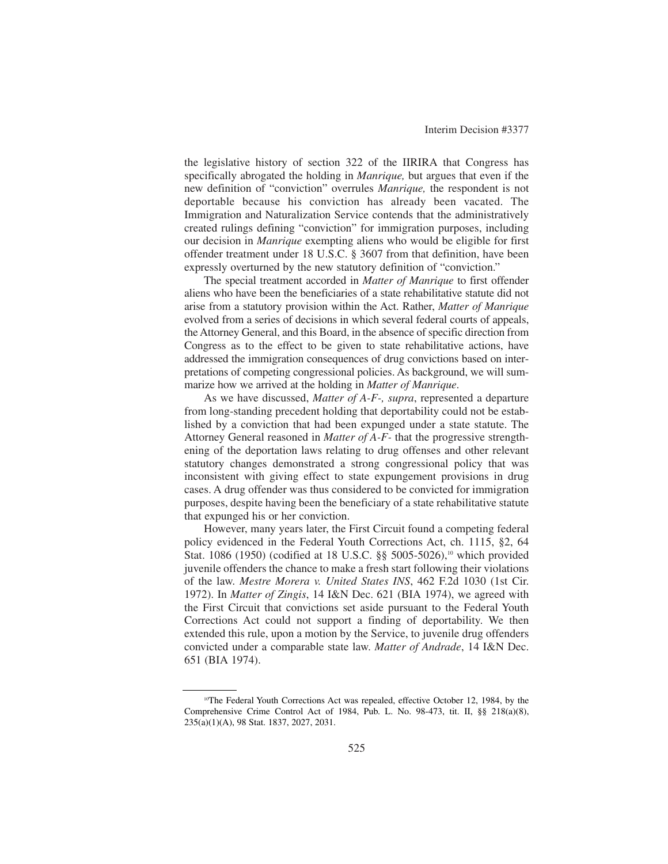the legislative history of section 322 of the IIRIRA that Congress has specifically abrogated the holding in *Manrique,* but argues that even if the new definition of "conviction" overrules *Manrique,* the respondent is not deportable because his conviction has already been vacated. The Immigration and Naturalization Service contends that the administratively created rulings defining "conviction" for immigration purposes, including our decision in *Manrique* exempting aliens who would be eligible for first offender treatment under 18 U.S.C. § 3607 from that definition, have been expressly overturned by the new statutory definition of "conviction."

The special treatment accorded in *Matter of Manrique* to first offender aliens who have been the beneficiaries of a state rehabilitative statute did not arise from a statutory provision within the Act. Rather, *Matter of Manrique* evolved from a series of decisions in which several federal courts of appeals, the Attorney General, and this Board, in the absence of specific direction from Congress as to the effect to be given to state rehabilitative actions, have addressed the immigration consequences of drug convictions based on interpretations of competing congressional policies. As background, we will summarize how we arrived at the holding in *Matter of Manrique*.

As we have discussed, *Matter of A-F-, supra*, represented a departure from long-standing precedent holding that deportability could not be established by a conviction that had been expunged under a state statute. The Attorney General reasoned in *Matter of A-F-* that the progressive strengthening of the deportation laws relating to drug offenses and other relevant statutory changes demonstrated a strong congressional policy that was inconsistent with giving effect to state expungement provisions in drug cases. A drug offender was thus considered to be convicted for immigration purposes, despite having been the beneficiary of a state rehabilitative statute that expunged his or her conviction.

However, many years later, the First Circuit found a competing federal policy evidenced in the Federal Youth Corrections Act, ch. 1115, §2, 64 Stat. 1086 (1950) (codified at 18 U.S.C. §§ 5005-5026),<sup>10</sup> which provided juvenile offenders the chance to make a fresh start following their violations of the law. *Mestre Morera v. United States INS*, 462 F.2d 1030 (1st Cir. 1972). In *Matter of Zingis*, 14 I&N Dec. 621 (BIA 1974), we agreed with the First Circuit that convictions set aside pursuant to the Federal Youth Corrections Act could not support a finding of deportability. We then extended this rule, upon a motion by the Service, to juvenile drug offenders convicted under a comparable state law. *Matter of Andrade*, 14 I&N Dec. 651 (BIA 1974).

<sup>&</sup>lt;sup>10</sup>The Federal Youth Corrections Act was repealed, effective October 12, 1984, by the Comprehensive Crime Control Act of 1984, Pub. L. No. 98-473, tit. II, §§ 218(a)(8), 235(a)(1)(A), 98 Stat. 1837, 2027, 2031.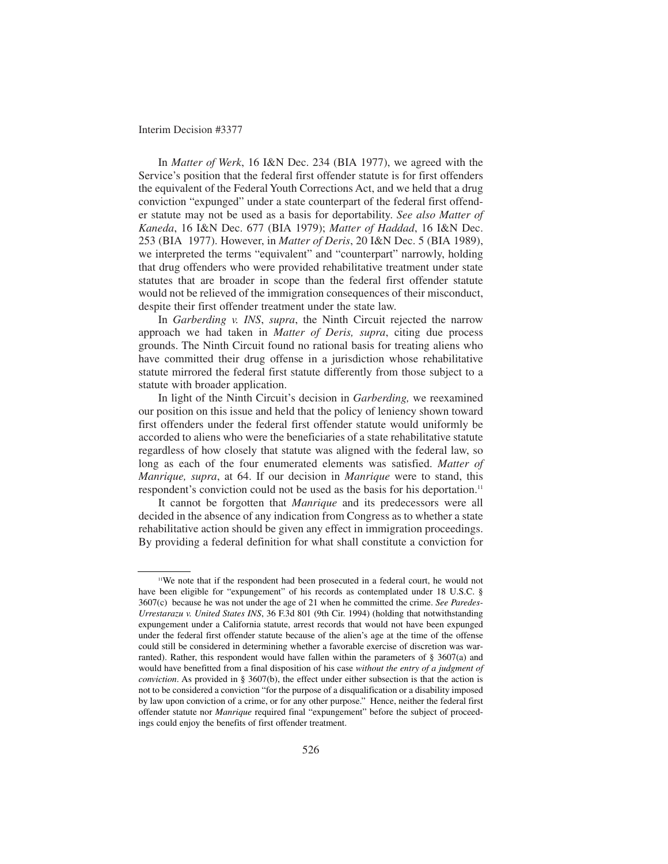In *Matter of Werk*, 16 I&N Dec. 234 (BIA 1977), we agreed with the Service's position that the federal first offender statute is for first offenders the equivalent of the Federal Youth Corrections Act, and we held that a drug conviction "expunged" under a state counterpart of the federal first offender statute may not be used as a basis for deportability. *See also Matter of Kaneda*, 16 I&N Dec. 677 (BIA 1979); *Matter of Haddad*, 16 I&N Dec. 253 (BIA 1977). However, in *Matter of Deris*, 20 I&N Dec. 5 (BIA 1989), we interpreted the terms "equivalent" and "counterpart" narrowly, holding that drug offenders who were provided rehabilitative treatment under state statutes that are broader in scope than the federal first offender statute would not be relieved of the immigration consequences of their misconduct, despite their first offender treatment under the state law.

In *Garberding v. INS*, *supra*, the Ninth Circuit rejected the narrow approach we had taken in *Matter of Deris, supra*, citing due process grounds. The Ninth Circuit found no rational basis for treating aliens who have committed their drug offense in a jurisdiction whose rehabilitative statute mirrored the federal first statute differently from those subject to a statute with broader application.

In light of the Ninth Circuit's decision in *Garberding,* we reexamined our position on this issue and held that the policy of leniency shown toward first offenders under the federal first offender statute would uniformly be accorded to aliens who were the beneficiaries of a state rehabilitative statute regardless of how closely that statute was aligned with the federal law, so long as each of the four enumerated elements was satisfied. *Matter of Manrique, supra*, at 64. If our decision in *Manrique* were to stand, this respondent's conviction could not be used as the basis for his deportation.<sup>11</sup>

It cannot be forgotten that *Manrique* and its predecessors were all decided in the absence of any indication from Congress as to whether a state rehabilitative action should be given any effect in immigration proceedings. By providing a federal definition for what shall constitute a conviction for

<sup>11</sup>We note that if the respondent had been prosecuted in a federal court, he would not have been eligible for "expungement" of his records as contemplated under 18 U.S.C. § 3607(c) because he was not under the age of 21 when he committed the crime. *See Paredes-Urrestarazu v. United States INS*, 36 F.3d 801 (9th Cir. 1994) (holding that notwithstanding expungement under a California statute, arrest records that would not have been expunged under the federal first offender statute because of the alien's age at the time of the offense could still be considered in determining whether a favorable exercise of discretion was warranted). Rather, this respondent would have fallen within the parameters of § 3607(a) and would have benefitted from a final disposition of his case *without the entry of a judgment of conviction*. As provided in § 3607(b), the effect under either subsection is that the action is not to be considered a conviction "for the purpose of a disqualification or a disability imposed by law upon conviction of a crime, or for any other purpose." Hence, neither the federal first offender statute nor *Manrique* required final "expungement" before the subject of proceedings could enjoy the benefits of first offender treatment.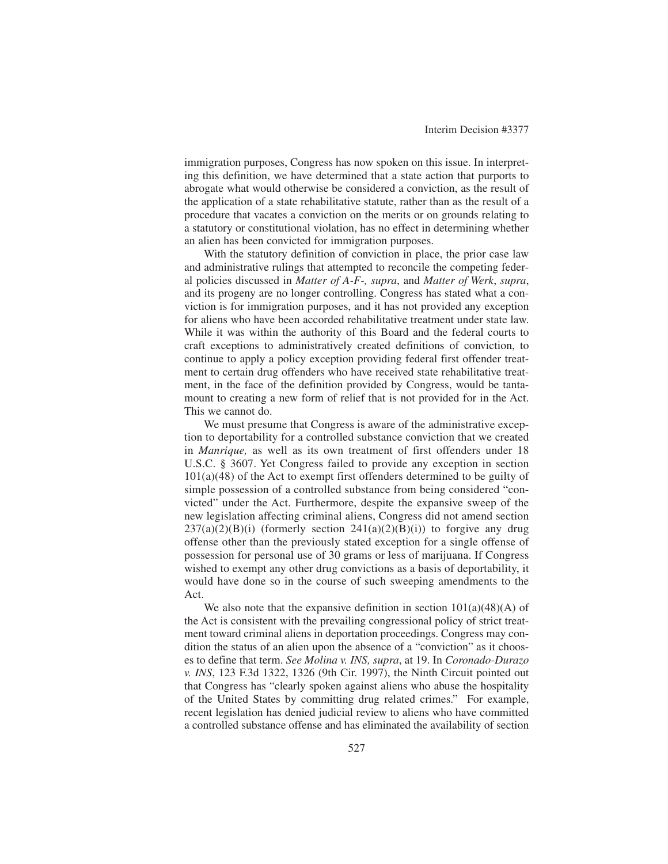immigration purposes, Congress has now spoken on this issue. In interpreting this definition, we have determined that a state action that purports to abrogate what would otherwise be considered a conviction, as the result of the application of a state rehabilitative statute, rather than as the result of a procedure that vacates a conviction on the merits or on grounds relating to a statutory or constitutional violation, has no effect in determining whether an alien has been convicted for immigration purposes.

With the statutory definition of conviction in place, the prior case law and administrative rulings that attempted to reconcile the competing federal policies discussed in *Matter of A-F-, supra*, and *Matter of Werk*, *supra*, and its progeny are no longer controlling. Congress has stated what a conviction is for immigration purposes, and it has not provided any exception for aliens who have been accorded rehabilitative treatment under state law. While it was within the authority of this Board and the federal courts to craft exceptions to administratively created definitions of conviction, to continue to apply a policy exception providing federal first offender treatment to certain drug offenders who have received state rehabilitative treatment, in the face of the definition provided by Congress, would be tantamount to creating a new form of relief that is not provided for in the Act. This we cannot do.

We must presume that Congress is aware of the administrative exception to deportability for a controlled substance conviction that we created in *Manrique,* as well as its own treatment of first offenders under 18 U.S.C. § 3607. Yet Congress failed to provide any exception in section  $101(a)(48)$  of the Act to exempt first offenders determined to be guilty of simple possession of a controlled substance from being considered "convicted" under the Act. Furthermore, despite the expansive sweep of the new legislation affecting criminal aliens, Congress did not amend section  $237(a)(2)(B)(i)$  (formerly section  $241(a)(2)(B)(i)$ ) to forgive any drug offense other than the previously stated exception for a single offense of possession for personal use of 30 grams or less of marijuana. If Congress wished to exempt any other drug convictions as a basis of deportability, it would have done so in the course of such sweeping amendments to the Act.

We also note that the expansive definition in section  $101(a)(48)(A)$  of the Act is consistent with the prevailing congressional policy of strict treatment toward criminal aliens in deportation proceedings. Congress may condition the status of an alien upon the absence of a "conviction" as it chooses to define that term. *See Molina v. INS, supra*, at 19. In *Coronado-Durazo v. INS*, 123 F.3d 1322, 1326 (9th Cir. 1997), the Ninth Circuit pointed out that Congress has "clearly spoken against aliens who abuse the hospitality of the United States by committing drug related crimes." For example, recent legislation has denied judicial review to aliens who have committed a controlled substance offense and has eliminated the availability of section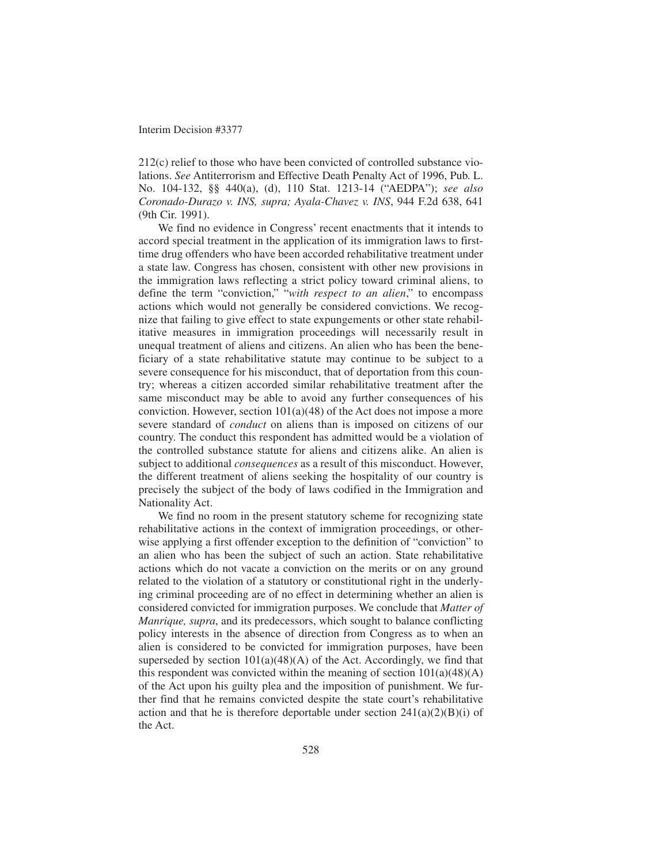212(c) relief to those who have been convicted of controlled substance violations. *See* Antiterrorism and Effective Death Penalty Act of 1996, Pub. L. No. 104-132, §§ 440(a), (d), 110 Stat. 1213-14 ("AEDPA"); *see also Coronado-Durazo v. INS, supra; Ayala-Chavez v. INS*, 944 F.2d 638, 641 (9th Cir. 1991).

We find no evidence in Congress' recent enactments that it intends to accord special treatment in the application of its immigration laws to firsttime drug offenders who have been accorded rehabilitative treatment under a state law. Congress has chosen, consistent with other new provisions in the immigration laws reflecting a strict policy toward criminal aliens, to define the term "conviction," "*with respect to an alien*," to encompass actions which would not generally be considered convictions. We recognize that failing to give effect to state expungements or other state rehabilitative measures in immigration proceedings will necessarily result in unequal treatment of aliens and citizens. An alien who has been the beneficiary of a state rehabilitative statute may continue to be subject to a severe consequence for his misconduct, that of deportation from this country; whereas a citizen accorded similar rehabilitative treatment after the same misconduct may be able to avoid any further consequences of his conviction. However, section 101(a)(48) of the Act does not impose a more severe standard of *conduct* on aliens than is imposed on citizens of our country. The conduct this respondent has admitted would be a violation of the controlled substance statute for aliens and citizens alike. An alien is subject to additional *consequences* as a result of this misconduct. However, the different treatment of aliens seeking the hospitality of our country is precisely the subject of the body of laws codified in the Immigration and Nationality Act.

We find no room in the present statutory scheme for recognizing state rehabilitative actions in the context of immigration proceedings, or otherwise applying a first offender exception to the definition of "conviction" to an alien who has been the subject of such an action. State rehabilitative actions which do not vacate a conviction on the merits or on any ground related to the violation of a statutory or constitutional right in the underlying criminal proceeding are of no effect in determining whether an alien is considered convicted for immigration purposes. We conclude that *Matter of Manrique, supra*, and its predecessors, which sought to balance conflicting policy interests in the absence of direction from Congress as to when an alien is considered to be convicted for immigration purposes, have been superseded by section  $101(a)(48)(A)$  of the Act. Accordingly, we find that this respondent was convicted within the meaning of section  $101(a)(48)(A)$ of the Act upon his guilty plea and the imposition of punishment. We further find that he remains convicted despite the state court's rehabilitative action and that he is therefore deportable under section  $241(a)(2)(B)(i)$  of the Act.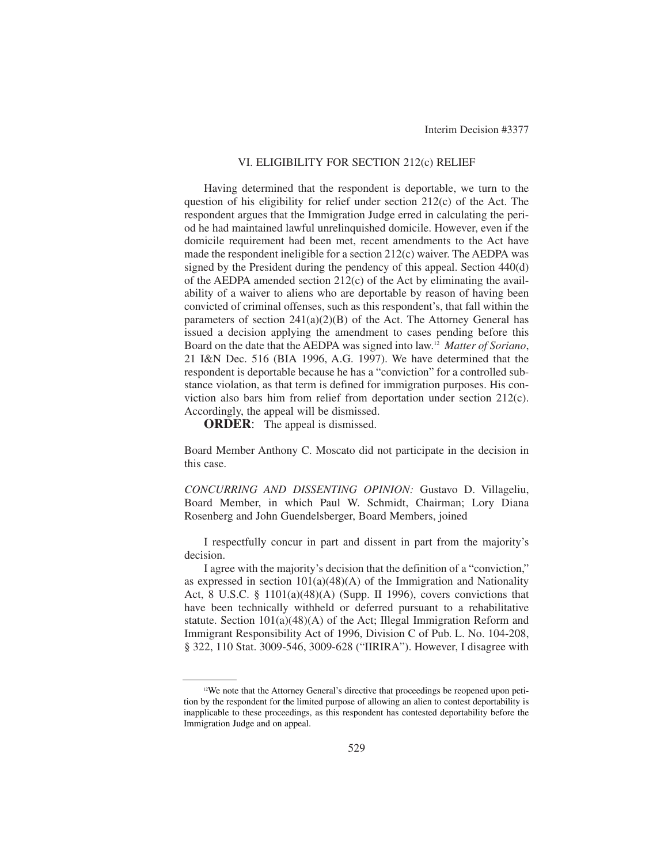### VI. ELIGIBILITY FOR SECTION 212(c) RELIEF

Having determined that the respondent is deportable, we turn to the question of his eligibility for relief under section 212(c) of the Act. The respondent argues that the Immigration Judge erred in calculating the period he had maintained lawful unrelinquished domicile. However, even if the domicile requirement had been met, recent amendments to the Act have made the respondent ineligible for a section 212(c) waiver. The AEDPA was signed by the President during the pendency of this appeal. Section 440(d) of the AEDPA amended section 212(c) of the Act by eliminating the availability of a waiver to aliens who are deportable by reason of having been convicted of criminal offenses, such as this respondent's, that fall within the parameters of section  $241(a)(2)(B)$  of the Act. The Attorney General has issued a decision applying the amendment to cases pending before this Board on the date that the AEDPA was signed into law.12 *Matter of Soriano*, 21 I&N Dec. 516 (BIA 1996, A.G. 1997). We have determined that the respondent is deportable because he has a "conviction" for a controlled substance violation, as that term is defined for immigration purposes. His conviction also bars him from relief from deportation under section 212(c). Accordingly, the appeal will be dismissed.

**ORDER:** The appeal is dismissed.

Board Member Anthony C. Moscato did not participate in the decision in this case.

*CONCURRING AND DISSENTING OPINION:* Gustavo D. Villageliu, Board Member, in which Paul W. Schmidt, Chairman; Lory Diana Rosenberg and John Guendelsberger, Board Members, joined

I respectfully concur in part and dissent in part from the majority's decision.

I agree with the majority's decision that the definition of a "conviction," as expressed in section  $101(a)(48)(A)$  of the Immigration and Nationality Act, 8 U.S.C. § 1101(a)(48)(A) (Supp. II 1996), covers convictions that have been technically withheld or deferred pursuant to a rehabilitative statute. Section 101(a)(48)(A) of the Act; Illegal Immigration Reform and Immigrant Responsibility Act of 1996, Division C of Pub. L. No. 104-208, § 322, 110 Stat. 3009-546, 3009-628 ("IIRIRA"). However, I disagree with

<sup>&</sup>lt;sup>12</sup>We note that the Attorney General's directive that proceedings be reopened upon petition by the respondent for the limited purpose of allowing an alien to contest deportability is inapplicable to these proceedings, as this respondent has contested deportability before the Immigration Judge and on appeal.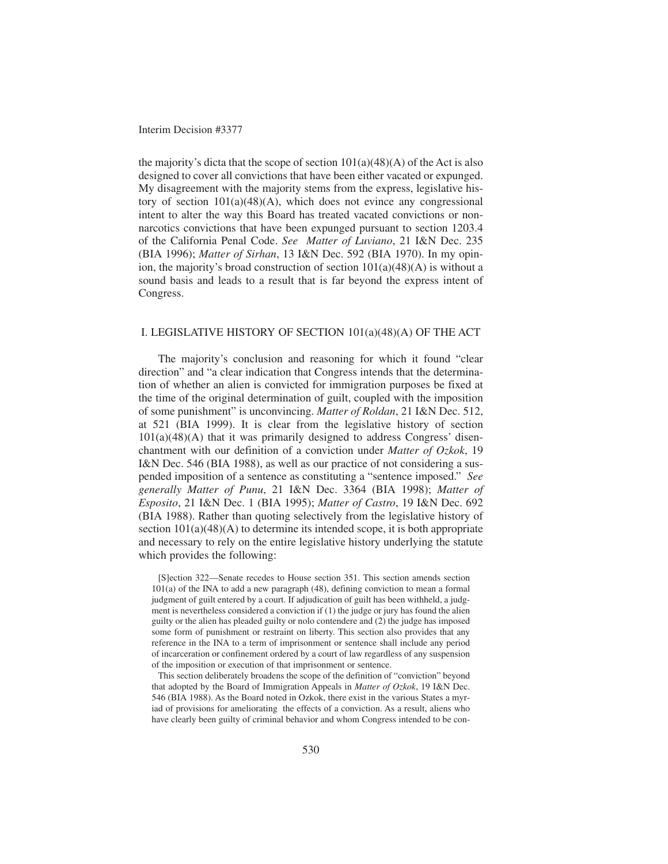the majority's dicta that the scope of section  $101(a)(48)(A)$  of the Act is also designed to cover all convictions that have been either vacated or expunged. My disagreement with the majority stems from the express, legislative history of section  $101(a)(48)(A)$ , which does not evince any congressional intent to alter the way this Board has treated vacated convictions or nonnarcotics convictions that have been expunged pursuant to section 1203.4 of the California Penal Code. *See Matter of Luviano*, 21 I&N Dec. 235 (BIA 1996); *Matter of Sirhan*, 13 I&N Dec. 592 (BIA 1970). In my opinion, the majority's broad construction of section  $101(a)(48)(A)$  is without a sound basis and leads to a result that is far beyond the express intent of Congress.

### I. LEGISLATIVE HISTORY OF SECTION 101(a)(48)(A) OF THE ACT

The majority's conclusion and reasoning for which it found "clear direction" and "a clear indication that Congress intends that the determination of whether an alien is convicted for immigration purposes be fixed at the time of the original determination of guilt, coupled with the imposition of some punishment" is unconvincing. *Matter of Roldan*, 21 I&N Dec. 512, at 521 (BIA 1999). It is clear from the legislative history of section  $101(a)(48)(A)$  that it was primarily designed to address Congress' disenchantment with our definition of a conviction under *Matter of Ozkok*, 19 I&N Dec. 546 (BIA 1988), as well as our practice of not considering a suspended imposition of a sentence as constituting a "sentence imposed." *See generally Matter of Punu*, 21 I&N Dec. 3364 (BIA 1998); *Matter of Esposito*, 21 I&N Dec. 1 (BIA 1995); *Matter of Castro*, 19 I&N Dec. 692 (BIA 1988). Rather than quoting selectively from the legislative history of section  $101(a)(48)(A)$  to determine its intended scope, it is both appropriate and necessary to rely on the entire legislative history underlying the statute which provides the following:

[S]ection 322—Senate recedes to House section 351. This section amends section 101(a) of the INA to add a new paragraph (48), defining conviction to mean a formal judgment of guilt entered by a court. If adjudication of guilt has been withheld, a judgment is nevertheless considered a conviction if (1) the judge or jury has found the alien guilty or the alien has pleaded guilty or nolo contendere and (2) the judge has imposed some form of punishment or restraint on liberty. This section also provides that any reference in the INA to a term of imprisonment or sentence shall include any period of incarceration or confinement ordered by a court of law regardless of any suspension of the imposition or execution of that imprisonment or sentence.

This section deliberately broadens the scope of the definition of "conviction" beyond that adopted by the Board of Immigration Appeals in *Matter of Ozkok*, 19 I&N Dec. 546 (BIA 1988). As the Board noted in Ozkok, there exist in the various States a myriad of provisions for ameliorating the effects of a conviction. As a result, aliens who have clearly been guilty of criminal behavior and whom Congress intended to be con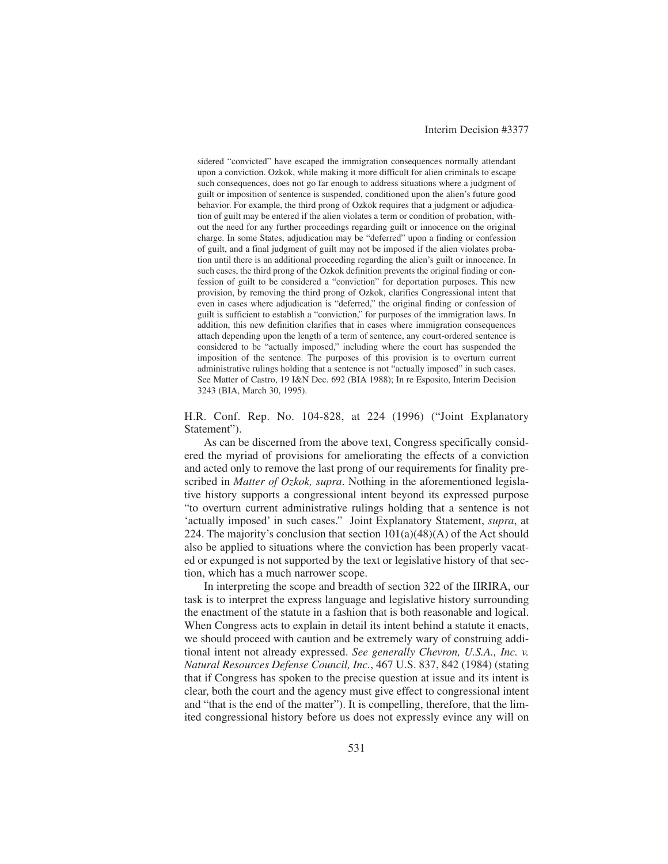sidered "convicted" have escaped the immigration consequences normally attendant upon a conviction. Ozkok, while making it more difficult for alien criminals to escape such consequences, does not go far enough to address situations where a judgment of guilt or imposition of sentence is suspended, conditioned upon the alien's future good behavior. For example, the third prong of Ozkok requires that a judgment or adjudication of guilt may be entered if the alien violates a term or condition of probation, without the need for any further proceedings regarding guilt or innocence on the original charge. In some States, adjudication may be "deferred" upon a finding or confession of guilt, and a final judgment of guilt may not be imposed if the alien violates probation until there is an additional proceeding regarding the alien's guilt or innocence. In such cases, the third prong of the Ozkok definition prevents the original finding or confession of guilt to be considered a "conviction" for deportation purposes. This new provision, by removing the third prong of Ozkok, clarifies Congressional intent that even in cases where adjudication is "deferred," the original finding or confession of guilt is sufficient to establish a "conviction," for purposes of the immigration laws. In addition, this new definition clarifies that in cases where immigration consequences attach depending upon the length of a term of sentence, any court-ordered sentence is considered to be "actually imposed," including where the court has suspended the imposition of the sentence. The purposes of this provision is to overturn current administrative rulings holding that a sentence is not "actually imposed" in such cases. See Matter of Castro, 19 I&N Dec. 692 (BIA 1988); In re Esposito, Interim Decision 3243 (BIA, March 30, 1995).

H.R. Conf. Rep. No. 104-828, at 224 (1996) ("Joint Explanatory Statement").

As can be discerned from the above text, Congress specifically considered the myriad of provisions for ameliorating the effects of a conviction and acted only to remove the last prong of our requirements for finality prescribed in *Matter of Ozkok, supra*. Nothing in the aforementioned legislative history supports a congressional intent beyond its expressed purpose "to overturn current administrative rulings holding that a sentence is not 'actually imposed' in such cases." Joint Explanatory Statement, *supra*, at 224. The majority's conclusion that section  $101(a)(48)(A)$  of the Act should also be applied to situations where the conviction has been properly vacated or expunged is not supported by the text or legislative history of that section, which has a much narrower scope.

In interpreting the scope and breadth of section 322 of the IIRIRA, our task is to interpret the express language and legislative history surrounding the enactment of the statute in a fashion that is both reasonable and logical. When Congress acts to explain in detail its intent behind a statute it enacts, we should proceed with caution and be extremely wary of construing additional intent not already expressed. *See generally Chevron, U.S.A., Inc. v. Natural Resources Defense Council, Inc.*, 467 U.S. 837, 842 (1984) (stating that if Congress has spoken to the precise question at issue and its intent is clear, both the court and the agency must give effect to congressional intent and "that is the end of the matter"). It is compelling, therefore, that the limited congressional history before us does not expressly evince any will on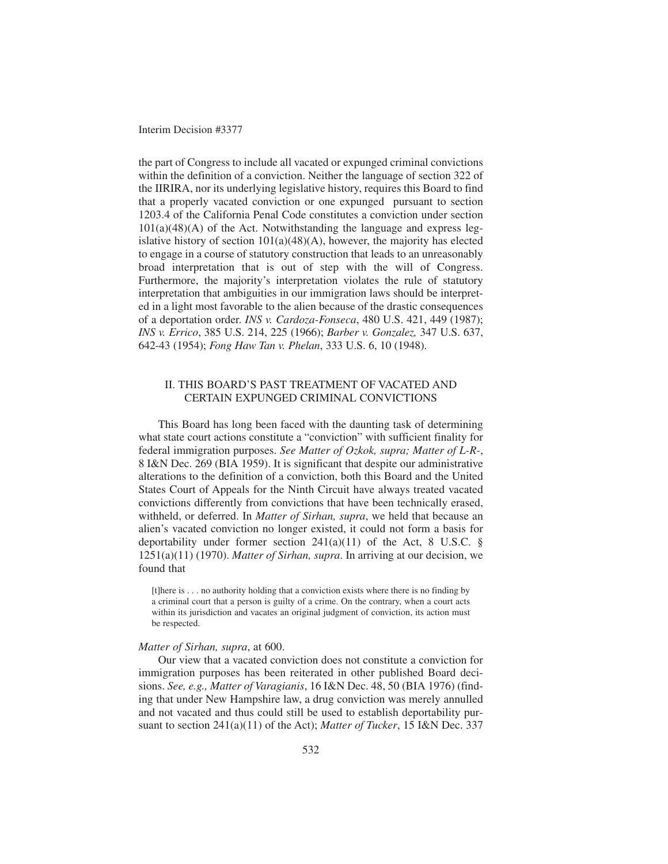the part of Congress to include all vacated or expunged criminal convictions within the definition of a conviction. Neither the language of section 322 of the IIRIRA, nor its underlying legislative history, requires this Board to find that a properly vacated conviction or one expunged pursuant to section 1203.4 of the California Penal Code constitutes a conviction under section  $101(a)(48)(A)$  of the Act. Notwithstanding the language and express legislative history of section  $101(a)(48)(A)$ , however, the majority has elected to engage in a course of statutory construction that leads to an unreasonably broad interpretation that is out of step with the will of Congress. Furthermore, the majority's interpretation violates the rule of statutory interpretation that ambiguities in our immigration laws should be interpreted in a light most favorable to the alien because of the drastic consequences of a deportation order. *INS v. Cardoza-Fonseca*, 480 U.S. 421, 449 (1987); *INS v. Errico*, 385 U.S. 214, 225 (1966); *Barber v. Gonzalez,* 347 U.S. 637, 642-43 (1954); *Fong Haw Tan v. Phelan*, 333 U.S. 6, 10 (1948).

## II. THIS BOARD'S PAST TREATMENT OF VACATED AND CERTAIN EXPUNGED CRIMINAL CONVICTIONS

This Board has long been faced with the daunting task of determining what state court actions constitute a "conviction" with sufficient finality for federal immigration purposes. *See Matter of Ozkok, supra; Matter of L-R-*, 8 I&N Dec. 269 (BIA 1959). It is significant that despite our administrative alterations to the definition of a conviction, both this Board and the United States Court of Appeals for the Ninth Circuit have always treated vacated convictions differently from convictions that have been technically erased, withheld, or deferred. In *Matter of Sirhan, supra*, we held that because an alien's vacated conviction no longer existed, it could not form a basis for deportability under former section  $241(a)(11)$  of the Act, 8 U.S.C. § 1251(a)(11) (1970). *Matter of Sirhan, supra*. In arriving at our decision, we found that

[t]here is . . . no authority holding that a conviction exists where there is no finding by a criminal court that a person is guilty of a crime. On the contrary, when a court acts within its jurisdiction and vacates an original judgment of conviction, its action must be respected.

### *Matter of Sirhan, supra*, at 600.

Our view that a vacated conviction does not constitute a conviction for immigration purposes has been reiterated in other published Board decisions. *See, e.g., Matter of Varagianis*, 16 I&N Dec. 48, 50 (BIA 1976) (finding that under New Hampshire law, a drug conviction was merely annulled and not vacated and thus could still be used to establish deportability pursuant to section 241(a)(11) of the Act); *Matter of Tucker*, 15 I&N Dec. 337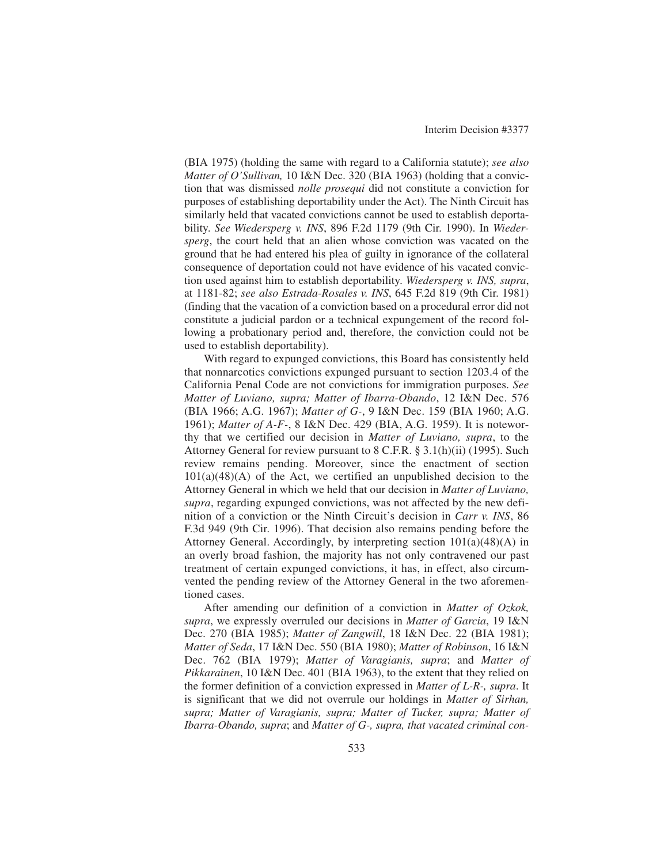(BIA 1975) (holding the same with regard to a California statute); *see also Matter of O'Sullivan,* 10 I&N Dec. 320 (BIA 1963) (holding that a conviction that was dismissed *nolle prosequi* did not constitute a conviction for purposes of establishing deportability under the Act). The Ninth Circuit has similarly held that vacated convictions cannot be used to establish deportability. *See Wiedersperg v. INS*, 896 F.2d 1179 (9th Cir. 1990). In *Wiedersperg*, the court held that an alien whose conviction was vacated on the ground that he had entered his plea of guilty in ignorance of the collateral consequence of deportation could not have evidence of his vacated conviction used against him to establish deportability. *Wiedersperg v. INS, supra*, at 1181-82; *see also Estrada-Rosales v. INS*, 645 F.2d 819 (9th Cir. 1981) (finding that the vacation of a conviction based on a procedural error did not constitute a judicial pardon or a technical expungement of the record following a probationary period and, therefore, the conviction could not be used to establish deportability).

With regard to expunged convictions, this Board has consistently held that nonnarcotics convictions expunged pursuant to section 1203.4 of the California Penal Code are not convictions for immigration purposes. *See Matter of Luviano, supra; Matter of Ibarra-Obando*, 12 I&N Dec. 576 (BIA 1966; A.G. 1967); *Matter of G-*, 9 I&N Dec. 159 (BIA 1960; A.G. 1961); *Matter of A-F-*, 8 I&N Dec. 429 (BIA, A.G. 1959). It is noteworthy that we certified our decision in *Matter of Luviano, supra*, to the Attorney General for review pursuant to 8 C.F.R. § 3.1(h)(ii) (1995). Such review remains pending. Moreover, since the enactment of section  $101(a)(48)(A)$  of the Act, we certified an unpublished decision to the Attorney General in which we held that our decision in *Matter of Luviano, supra*, regarding expunged convictions, was not affected by the new definition of a conviction or the Ninth Circuit's decision in *Carr v. INS*, 86 F.3d 949 (9th Cir. 1996). That decision also remains pending before the Attorney General. Accordingly, by interpreting section  $101(a)(48)(A)$  in an overly broad fashion, the majority has not only contravened our past treatment of certain expunged convictions, it has, in effect, also circumvented the pending review of the Attorney General in the two aforementioned cases.

After amending our definition of a conviction in *Matter of Ozkok, supra*, we expressly overruled our decisions in *Matter of Garcia*, 19 I&N Dec. 270 (BIA 1985); *Matter of Zangwill*, 18 I&N Dec. 22 (BIA 1981); *Matter of Seda*, 17 I&N Dec. 550 (BIA 1980); *Matter of Robinson*, 16 I&N Dec. 762 (BIA 1979); *Matter of Varagianis, supra*; and *Matter of Pikkarainen*, 10 I&N Dec. 401 (BIA 1963), to the extent that they relied on the former definition of a conviction expressed in *Matter of L-R-, supra*. It is significant that we did not overrule our holdings in *Matter of Sirhan, supra; Matter of Varagianis, supra; Matter of Tucker, supra; Matter of Ibarra-Obando, supra*; and *Matter of G-, supra, that vacated criminal con-*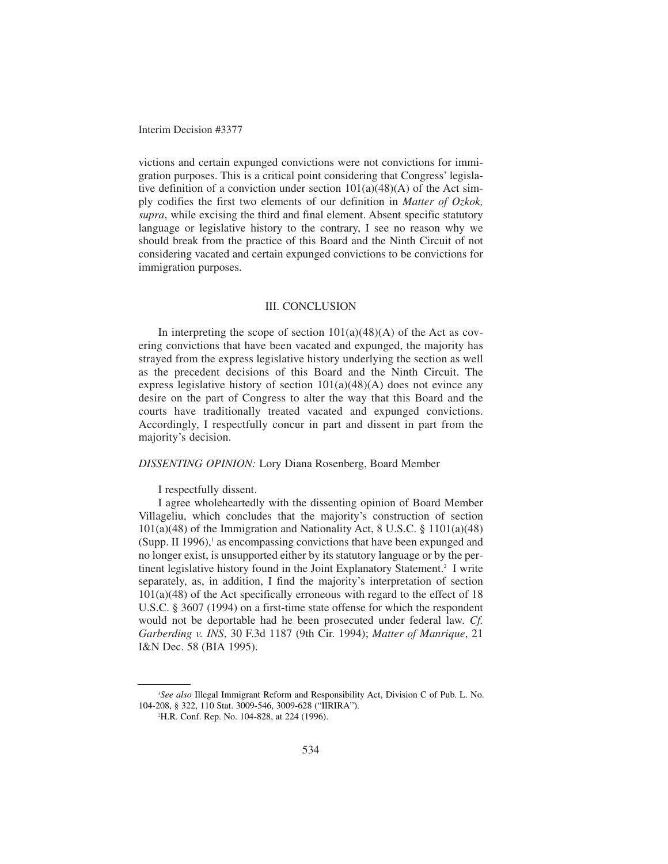victions and certain expunged convictions were not convictions for immigration purposes. This is a critical point considering that Congress' legislative definition of a conviction under section  $101(a)(48)(A)$  of the Act simply codifies the first two elements of our definition in *Matter of Ozkok, supra*, while excising the third and final element. Absent specific statutory language or legislative history to the contrary, I see no reason why we should break from the practice of this Board and the Ninth Circuit of not considering vacated and certain expunged convictions to be convictions for immigration purposes.

## III. CONCLUSION

In interpreting the scope of section  $101(a)(48)(A)$  of the Act as covering convictions that have been vacated and expunged, the majority has strayed from the express legislative history underlying the section as well as the precedent decisions of this Board and the Ninth Circuit. The express legislative history of section  $101(a)(48)(A)$  does not evince any desire on the part of Congress to alter the way that this Board and the courts have traditionally treated vacated and expunged convictions. Accordingly, I respectfully concur in part and dissent in part from the majority's decision.

### *DISSENTING OPINION:* Lory Diana Rosenberg, Board Member

I respectfully dissent.

I agree wholeheartedly with the dissenting opinion of Board Member Villageliu, which concludes that the majority's construction of section  $101(a)(48)$  of the Immigration and Nationality Act, 8 U.S.C. § 1101(a)(48) (Supp. II 1996), $\frac{1}{1}$  as encompassing convictions that have been expunged and no longer exist, is unsupported either by its statutory language or by the pertinent legislative history found in the Joint Explanatory Statement.<sup>2</sup> I write separately, as, in addition, I find the majority's interpretation of section 101(a)(48) of the Act specifically erroneous with regard to the effect of 18 U.S.C. § 3607 (1994) on a first-time state offense for which the respondent would not be deportable had he been prosecuted under federal law. *Cf. Garberding v. INS*, 30 F.3d 1187 (9th Cir. 1994); *Matter of Manrique*, 21 I&N Dec. 58 (BIA 1995).

<sup>1</sup> *See also* Illegal Immigrant Reform and Responsibility Act, Division C of Pub. L. No. 104-208, § 322, 110 Stat. 3009-546, 3009-628 ("IIRIRA").

<sup>2</sup> H.R. Conf. Rep. No. 104-828, at 224 (1996).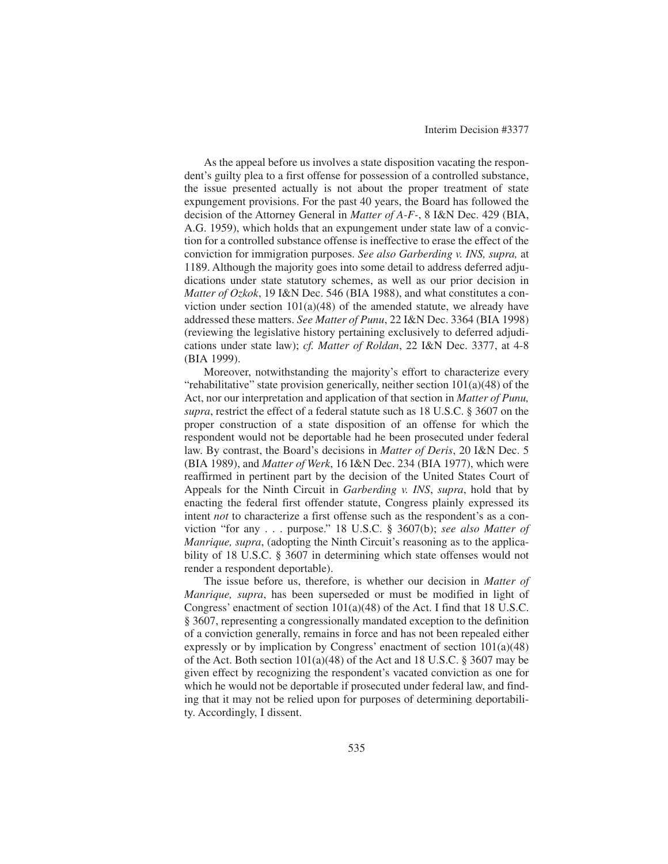As the appeal before us involves a state disposition vacating the respondent's guilty plea to a first offense for possession of a controlled substance, the issue presented actually is not about the proper treatment of state expungement provisions. For the past 40 years, the Board has followed the decision of the Attorney General in *Matter of A-F-*, 8 I&N Dec. 429 (BIA, A.G. 1959), which holds that an expungement under state law of a conviction for a controlled substance offense is ineffective to erase the effect of the conviction for immigration purposes. *See also Garberding v. INS, supra,* at 1189. Although the majority goes into some detail to address deferred adjudications under state statutory schemes, as well as our prior decision in *Matter of Ozkok*, 19 I&N Dec. 546 (BIA 1988), and what constitutes a conviction under section  $101(a)(48)$  of the amended statute, we already have addressed these matters. *See Matter of Punu*, 22 I&N Dec. 3364 (BIA 1998) (reviewing the legislative history pertaining exclusively to deferred adjudications under state law); *cf. Matter of Roldan*, 22 I&N Dec. 3377, at 4-8 (BIA 1999).

Moreover, notwithstanding the majority's effort to characterize every "rehabilitative" state provision generically, neither section 101(a)(48) of the Act, nor our interpretation and application of that section in *Matter of Punu, supra*, restrict the effect of a federal statute such as 18 U.S.C. § 3607 on the proper construction of a state disposition of an offense for which the respondent would not be deportable had he been prosecuted under federal law. By contrast, the Board's decisions in *Matter of Deris*, 20 I&N Dec. 5 (BIA 1989), and *Matter of Werk*, 16 I&N Dec. 234 (BIA 1977), which were reaffirmed in pertinent part by the decision of the United States Court of Appeals for the Ninth Circuit in *Garberding v. INS*, *supra*, hold that by enacting the federal first offender statute, Congress plainly expressed its intent *not* to characterize a first offense such as the respondent's as a conviction "for any . . . purpose." 18 U.S.C. § 3607(b); *see also Matter of Manrique, supra*, (adopting the Ninth Circuit's reasoning as to the applicability of 18 U.S.C. § 3607 in determining which state offenses would not render a respondent deportable).

The issue before us, therefore, is whether our decision in *Matter of Manrique, supra*, has been superseded or must be modified in light of Congress' enactment of section 101(a)(48) of the Act. I find that 18 U.S.C. § 3607, representing a congressionally mandated exception to the definition of a conviction generally, remains in force and has not been repealed either expressly or by implication by Congress' enactment of section 101(a)(48) of the Act. Both section 101(a)(48) of the Act and 18 U.S.C. § 3607 may be given effect by recognizing the respondent's vacated conviction as one for which he would not be deportable if prosecuted under federal law, and finding that it may not be relied upon for purposes of determining deportability. Accordingly, I dissent.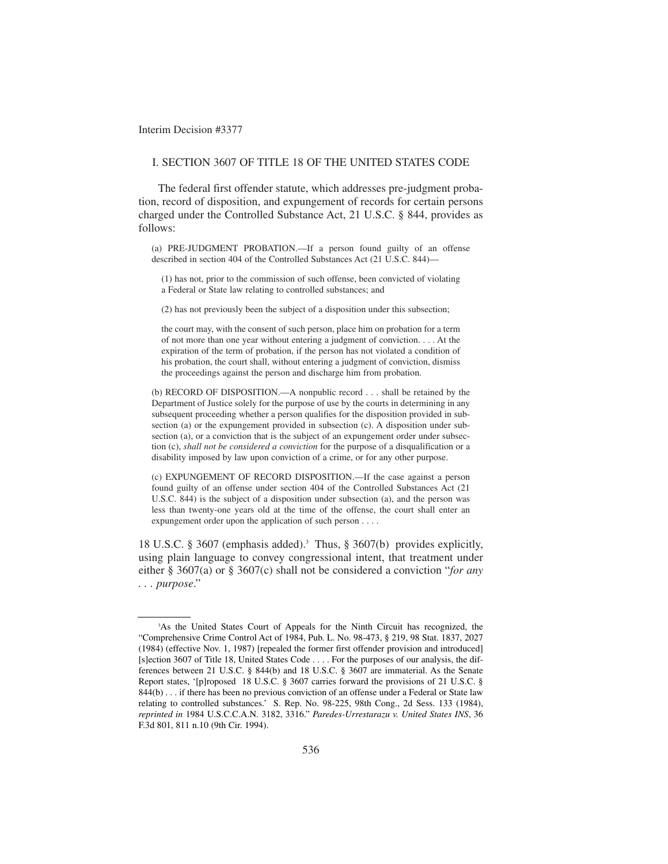### I. SECTION 3607 OF TITLE 18 OF THE UNITED STATES CODE

The federal first offender statute, which addresses pre-judgment probation, record of disposition, and expungement of records for certain persons charged under the Controlled Substance Act, 21 U.S.C. § 844, provides as follows:

(a) PRE-JUDGMENT PROBATION.—If a person found guilty of an offense described in section 404 of the Controlled Substances Act (21 U.S.C. 844)—

(1) has not, prior to the commission of such offense, been convicted of violating a Federal or State law relating to controlled substances; and

(2) has not previously been the subject of a disposition under this subsection;

the court may, with the consent of such person, place him on probation for a term of not more than one year without entering a judgment of conviction. . . . At the expiration of the term of probation, if the person has not violated a condition of his probation, the court shall, without entering a judgment of conviction, dismiss the proceedings against the person and discharge him from probation.

(b) RECORD OF DISPOSITION.—A nonpublic record . . . shall be retained by the Department of Justice solely for the purpose of use by the courts in determining in any subsequent proceeding whether a person qualifies for the disposition provided in subsection (a) or the expungement provided in subsection (c). A disposition under subsection (a), or a conviction that is the subject of an expungement order under subsection (c), *shall not be considered a conviction* for the purpose of a disqualification or a disability imposed by law upon conviction of a crime, or for any other purpose.

(c) EXPUNGEMENT OF RECORD DISPOSITION.—If the case against a person found guilty of an offense under section 404 of the Controlled Substances Act (21 U.S.C. 844) is the subject of a disposition under subsection (a), and the person was less than twenty-one years old at the time of the offense, the court shall enter an expungement order upon the application of such person . . . .

18 U.S.C. § 3607 (emphasis added).<sup>3</sup> Thus, § 3607(b) provides explicitly, using plain language to convey congressional intent, that treatment under either § 3607(a) or § 3607(c) shall not be considered a conviction "*for any . . . purpose*."

<sup>3</sup> As the United States Court of Appeals for the Ninth Circuit has recognized, the "Comprehensive Crime Control Act of 1984, Pub. L. No. 98-473, § 219, 98 Stat. 1837, 2027 (1984) (effective Nov. 1, 1987) [repealed the former first offender provision and introduced] [s]ection 3607 of Title 18, United States Code . . . . For the purposes of our analysis, the differences between 21 U.S.C. § 844(b) and 18 U.S.C. § 3607 are immaterial. As the Senate Report states, '[p]roposed 18 U.S.C. § 3607 carries forward the provisions of 21 U.S.C. § 844(b) . . . if there has been no previous conviction of an offense under a Federal or State law relating to controlled substances.' S. Rep. No. 98-225, 98th Cong., 2d Sess. 133 (1984), *reprinted in* 1984 U.S.C.C.A.N. 3182, 3316." *Paredes-Urrestarazu v. United States INS*, 36 F.3d 801, 811 n.10 (9th Cir. 1994).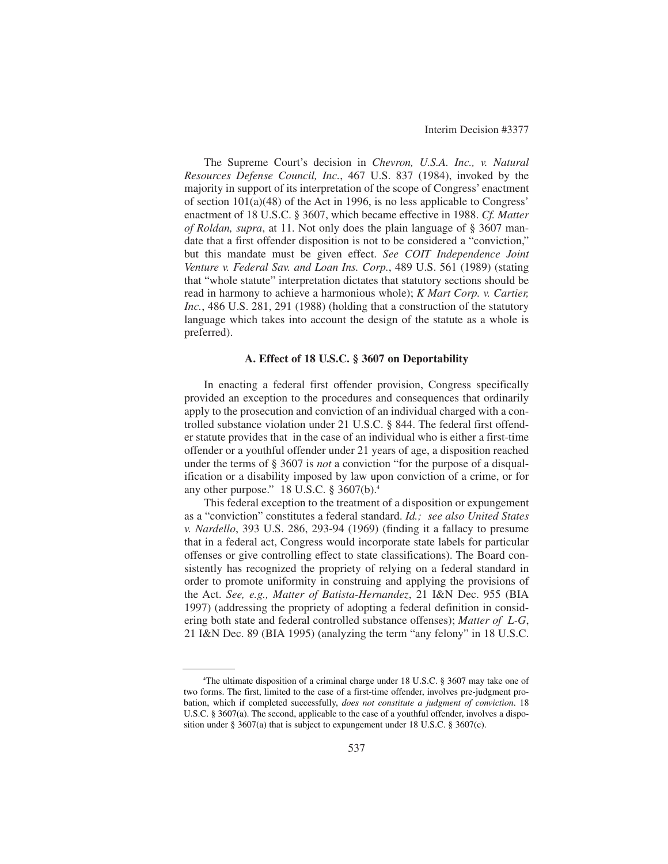The Supreme Court's decision in *Chevron, U.S.A. Inc., v. Natural Resources Defense Council, Inc.*, 467 U.S. 837 (1984), invoked by the majority in support of its interpretation of the scope of Congress' enactment of section 101(a)(48) of the Act in 1996, is no less applicable to Congress' enactment of 18 U.S.C. § 3607, which became effective in 1988. *Cf. Matter of Roldan, supra*, at 11. Not only does the plain language of § 3607 mandate that a first offender disposition is not to be considered a "conviction," but this mandate must be given effect. *See COIT Independence Joint Venture v. Federal Sav. and Loan Ins. Corp.*, 489 U.S. 561 (1989) (stating that "whole statute" interpretation dictates that statutory sections should be read in harmony to achieve a harmonious whole); *K Mart Corp. v. Cartier, Inc.*, 486 U.S. 281, 291 (1988) (holding that a construction of the statutory language which takes into account the design of the statute as a whole is preferred).

## **A. Effect of 18 U.S.C. § 3607 on Deportability**

In enacting a federal first offender provision, Congress specifically provided an exception to the procedures and consequences that ordinarily apply to the prosecution and conviction of an individual charged with a controlled substance violation under 21 U.S.C. § 844. The federal first offender statute provides that in the case of an individual who is either a first-time offender or a youthful offender under 21 years of age, a disposition reached under the terms of § 3607 is *not* a conviction "for the purpose of a disqualification or a disability imposed by law upon conviction of a crime, or for any other purpose." 18 U.S.C. § 3607(b).4

This federal exception to the treatment of a disposition or expungement as a "conviction" constitutes a federal standard. *Id.; see also United States v. Nardello*, 393 U.S. 286, 293-94 (1969) (finding it a fallacy to presume that in a federal act, Congress would incorporate state labels for particular offenses or give controlling effect to state classifications). The Board consistently has recognized the propriety of relying on a federal standard in order to promote uniformity in construing and applying the provisions of the Act. *See, e.g., Matter of Batista-Hernandez*, 21 I&N Dec. 955 (BIA 1997) (addressing the propriety of adopting a federal definition in considering both state and federal controlled substance offenses); *Matter of L-G*, 21 I&N Dec. 89 (BIA 1995) (analyzing the term "any felony" in 18 U.S.C.

<sup>4</sup> The ultimate disposition of a criminal charge under 18 U.S.C. § 3607 may take one of two forms. The first, limited to the case of a first-time offender, involves pre-judgment probation, which if completed successfully, *does not constitute a judgment of conviction*. 18 U.S.C. § 3607(a). The second, applicable to the case of a youthful offender, involves a disposition under § 3607(a) that is subject to expungement under 18 U.S.C. § 3607(c).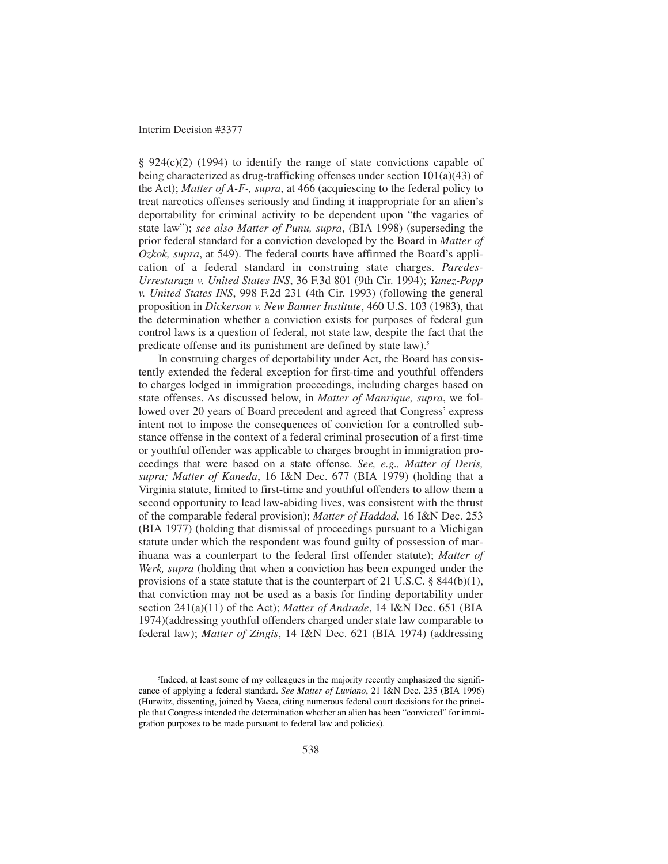§ 924(c)(2) (1994) to identify the range of state convictions capable of being characterized as drug-trafficking offenses under section 101(a)(43) of the Act); *Matter of A-F-, supra*, at 466 (acquiescing to the federal policy to treat narcotics offenses seriously and finding it inappropriate for an alien's deportability for criminal activity to be dependent upon "the vagaries of state law"); *see also Matter of Punu, supra*, (BIA 1998) (superseding the prior federal standard for a conviction developed by the Board in *Matter of Ozkok, supra*, at 549). The federal courts have affirmed the Board's application of a federal standard in construing state charges. *Paredes-Urrestarazu v. United States INS*, 36 F.3d 801 (9th Cir. 1994); *Yanez-Popp v. United States INS*, 998 F.2d 231 (4th Cir. 1993) (following the general proposition in *Dickerson v. New Banner Institute*, 460 U.S. 103 (1983), that the determination whether a conviction exists for purposes of federal gun control laws is a question of federal, not state law, despite the fact that the predicate offense and its punishment are defined by state law).<sup>5</sup>

In construing charges of deportability under Act, the Board has consistently extended the federal exception for first-time and youthful offenders to charges lodged in immigration proceedings, including charges based on state offenses. As discussed below, in *Matter of Manrique, supra*, we followed over 20 years of Board precedent and agreed that Congress' express intent not to impose the consequences of conviction for a controlled substance offense in the context of a federal criminal prosecution of a first-time or youthful offender was applicable to charges brought in immigration proceedings that were based on a state offense. *See, e.g., Matter of Deris, supra; Matter of Kaneda*, 16 I&N Dec. 677 (BIA 1979) (holding that a Virginia statute, limited to first-time and youthful offenders to allow them a second opportunity to lead law-abiding lives, was consistent with the thrust of the comparable federal provision); *Matter of Haddad*, 16 I&N Dec. 253 (BIA 1977) (holding that dismissal of proceedings pursuant to a Michigan statute under which the respondent was found guilty of possession of marihuana was a counterpart to the federal first offender statute); *Matter of Werk, supra* (holding that when a conviction has been expunged under the provisions of a state statute that is the counterpart of 21 U.S.C. § 844(b)(1), that conviction may not be used as a basis for finding deportability under section 241(a)(11) of the Act); *Matter of Andrade*, 14 I&N Dec. 651 (BIA 1974)(addressing youthful offenders charged under state law comparable to federal law); *Matter of Zingis*, 14 I&N Dec. 621 (BIA 1974) (addressing

<sup>5</sup> Indeed, at least some of my colleagues in the majority recently emphasized the significance of applying a federal standard. *See Matter of Luviano*, 21 I&N Dec. 235 (BIA 1996) (Hurwitz, dissenting, joined by Vacca, citing numerous federal court decisions for the principle that Congress intended the determination whether an alien has been "convicted" for immigration purposes to be made pursuant to federal law and policies).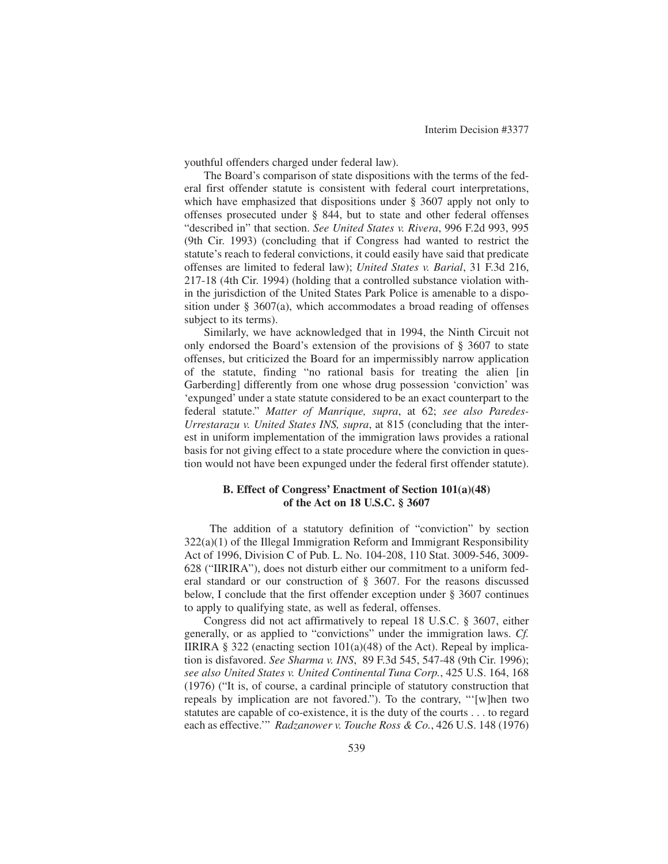youthful offenders charged under federal law).

The Board's comparison of state dispositions with the terms of the federal first offender statute is consistent with federal court interpretations, which have emphasized that dispositions under § 3607 apply not only to offenses prosecuted under § 844, but to state and other federal offenses "described in" that section. *See United States v. Rivera*, 996 F.2d 993, 995 (9th Cir. 1993) (concluding that if Congress had wanted to restrict the statute's reach to federal convictions, it could easily have said that predicate offenses are limited to federal law); *United States v. Barial*, 31 F.3d 216, 217-18 (4th Cir. 1994) (holding that a controlled substance violation within the jurisdiction of the United States Park Police is amenable to a disposition under § 3607(a), which accommodates a broad reading of offenses subject to its terms).

Similarly, we have acknowledged that in 1994, the Ninth Circuit not only endorsed the Board's extension of the provisions of § 3607 to state offenses, but criticized the Board for an impermissibly narrow application of the statute, finding "no rational basis for treating the alien [in Garberding] differently from one whose drug possession 'conviction' was 'expunged' under a state statute considered to be an exact counterpart to the federal statute." *Matter of Manrique, supra*, at 62; *see also Paredes-Urrestarazu v. United States INS, supra*, at 815 (concluding that the interest in uniform implementation of the immigration laws provides a rational basis for not giving effect to a state procedure where the conviction in question would not have been expunged under the federal first offender statute).

## **B. Effect of Congress' Enactment of Section 101(a)(48) of the Act on 18 U.S.C. § 3607**

The addition of a statutory definition of "conviction" by section  $322(a)(1)$  of the Illegal Immigration Reform and Immigrant Responsibility Act of 1996, Division C of Pub. L. No. 104-208, 110 Stat. 3009-546, 3009- 628 ("IIRIRA"), does not disturb either our commitment to a uniform federal standard or our construction of § 3607. For the reasons discussed below, I conclude that the first offender exception under § 3607 continues to apply to qualifying state, as well as federal, offenses.

Congress did not act affirmatively to repeal 18 U.S.C. § 3607, either generally, or as applied to "convictions" under the immigration laws. *Cf.* IIRIRA § 322 (enacting section  $101(a)(48)$  of the Act). Repeal by implication is disfavored. *See Sharma v. INS*, 89 F.3d 545, 547-48 (9th Cir. 1996); *see also United States v. United Continental Tuna Corp.*, 425 U.S. 164, 168 (1976) ("It is, of course, a cardinal principle of statutory construction that repeals by implication are not favored."). To the contrary, "'[w]hen two statutes are capable of co-existence, it is the duty of the courts . . . to regard each as effective.'" *Radzanower v. Touche Ross & Co.*, 426 U.S. 148 (1976)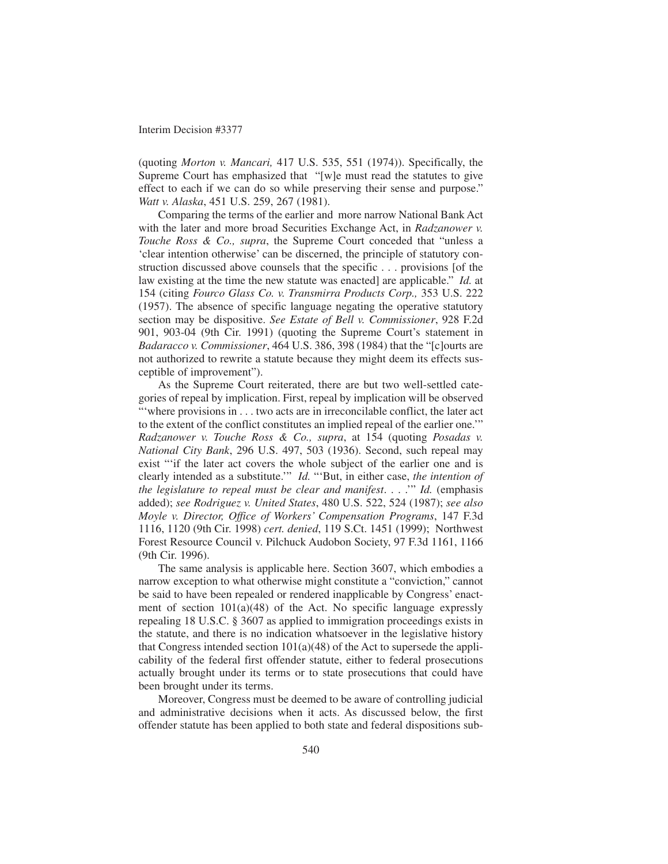(quoting *Morton v. Mancari,* 417 U.S. 535, 551 (1974)). Specifically, the Supreme Court has emphasized that "[w]e must read the statutes to give effect to each if we can do so while preserving their sense and purpose." *Watt v. Alaska*, 451 U.S. 259, 267 (1981).

Comparing the terms of the earlier and more narrow National Bank Act with the later and more broad Securities Exchange Act, in *Radzanower v. Touche Ross & Co., supra*, the Supreme Court conceded that "unless a 'clear intention otherwise' can be discerned, the principle of statutory construction discussed above counsels that the specific . . . provisions [of the law existing at the time the new statute was enacted] are applicable." *Id.* at 154 (citing *Fourco Glass Co. v. Transmirra Products Corp.,* 353 U.S. 222 (1957). The absence of specific language negating the operative statutory section may be dispositive. *See Estate of Bell v. Commissioner*, 928 F.2d 901, 903-04 (9th Cir. 1991) (quoting the Supreme Court's statement in *Badaracco v. Commissioner*, 464 U.S. 386, 398 (1984) that the "[c]ourts are not authorized to rewrite a statute because they might deem its effects susceptible of improvement").

As the Supreme Court reiterated, there are but two well-settled categories of repeal by implication. First, repeal by implication will be observed "'where provisions in . . . two acts are in irreconcilable conflict, the later act to the extent of the conflict constitutes an implied repeal of the earlier one.'" *Radzanower v. Touche Ross & Co., supra*, at 154 (quoting *Posadas v. National City Bank*, 296 U.S. 497, 503 (1936). Second, such repeal may exist "'if the later act covers the whole subject of the earlier one and is clearly intended as a substitute.'" *Id.* "'But, in either case, *the intention of the legislature to repeal must be clear and manifest*. . . .'" *Id.* (emphasis added); *see Rodriguez v. United States*, 480 U.S. 522, 524 (1987); *see also Moyle v. Director, Office of Workers' Compensation Programs*, 147 F.3d 1116, 1120 (9th Cir. 1998) *cert. denied*, 119 S.Ct. 1451 (1999); Northwest Forest Resource Council v. Pilchuck Audobon Society, 97 F.3d 1161, 1166 (9th Cir. 1996).

The same analysis is applicable here. Section 3607, which embodies a narrow exception to what otherwise might constitute a "conviction," cannot be said to have been repealed or rendered inapplicable by Congress' enactment of section  $101(a)(48)$  of the Act. No specific language expressly repealing 18 U.S.C. § 3607 as applied to immigration proceedings exists in the statute, and there is no indication whatsoever in the legislative history that Congress intended section  $101(a)(48)$  of the Act to supersede the applicability of the federal first offender statute, either to federal prosecutions actually brought under its terms or to state prosecutions that could have been brought under its terms.

Moreover, Congress must be deemed to be aware of controlling judicial and administrative decisions when it acts. As discussed below, the first offender statute has been applied to both state and federal dispositions sub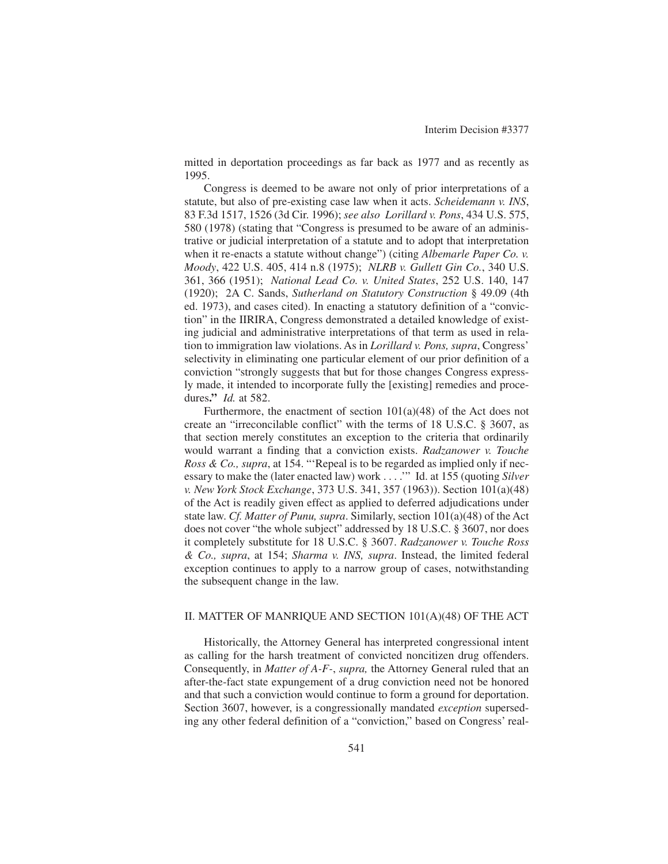mitted in deportation proceedings as far back as 1977 and as recently as 1995.

Congress is deemed to be aware not only of prior interpretations of a statute, but also of pre-existing case law when it acts. *Scheidemann v. INS*, 83 F.3d 1517, 1526 (3d Cir. 1996); *see also Lorillard v. Pons*, 434 U.S. 575, 580 (1978) (stating that "Congress is presumed to be aware of an administrative or judicial interpretation of a statute and to adopt that interpretation when it re-enacts a statute without change") (citing *Albemarle Paper Co. v. Moody*, 422 U.S. 405, 414 n.8 (1975); *NLRB v. Gullett Gin Co.*, 340 U.S. 361, 366 (1951); *National Lead Co. v. United States*, 252 U.S. 140, 147 (1920); 2A C. Sands, *Sutherland on Statutory Construction* § 49.09 (4th ed. 1973), and cases cited). In enacting a statutory definition of a "conviction" in the IIRIRA, Congress demonstrated a detailed knowledge of existing judicial and administrative interpretations of that term as used in relation to immigration law violations. As in *Lorillard v. Pons, supra*, Congress' selectivity in eliminating one particular element of our prior definition of a conviction "strongly suggests that but for those changes Congress expressly made, it intended to incorporate fully the [existing] remedies and procedures**."** *Id.* at 582.

Furthermore, the enactment of section 101(a)(48) of the Act does not create an "irreconcilable conflict" with the terms of 18 U.S.C. § 3607, as that section merely constitutes an exception to the criteria that ordinarily would warrant a finding that a conviction exists. *Radzanower v. Touche Ross & Co., supra*, at 154. "'Repeal is to be regarded as implied only if necessary to make the (later enacted law) work . . . .'" Id. at 155 (quoting *Silver v. New York Stock Exchange*, 373 U.S. 341, 357 (1963)). Section 101(a)(48) of the Act is readily given effect as applied to deferred adjudications under state law. *Cf. Matter of Punu, supra*. Similarly, section 101(a)(48) of the Act does not cover "the whole subject" addressed by 18 U.S.C. § 3607, nor does it completely substitute for 18 U.S.C. § 3607. *Radzanower v. Touche Ross & Co., supra*, at 154; *Sharma v. INS, supra*. Instead, the limited federal exception continues to apply to a narrow group of cases, notwithstanding the subsequent change in the law.

### II. MATTER OF MANRIQUE AND SECTION 101(A)(48) OF THE ACT

Historically, the Attorney General has interpreted congressional intent as calling for the harsh treatment of convicted noncitizen drug offenders. Consequently, in *Matter of A-F-*, *supra,* the Attorney General ruled that an after-the-fact state expungement of a drug conviction need not be honored and that such a conviction would continue to form a ground for deportation. Section 3607, however, is a congressionally mandated *exception* superseding any other federal definition of a "conviction," based on Congress' real-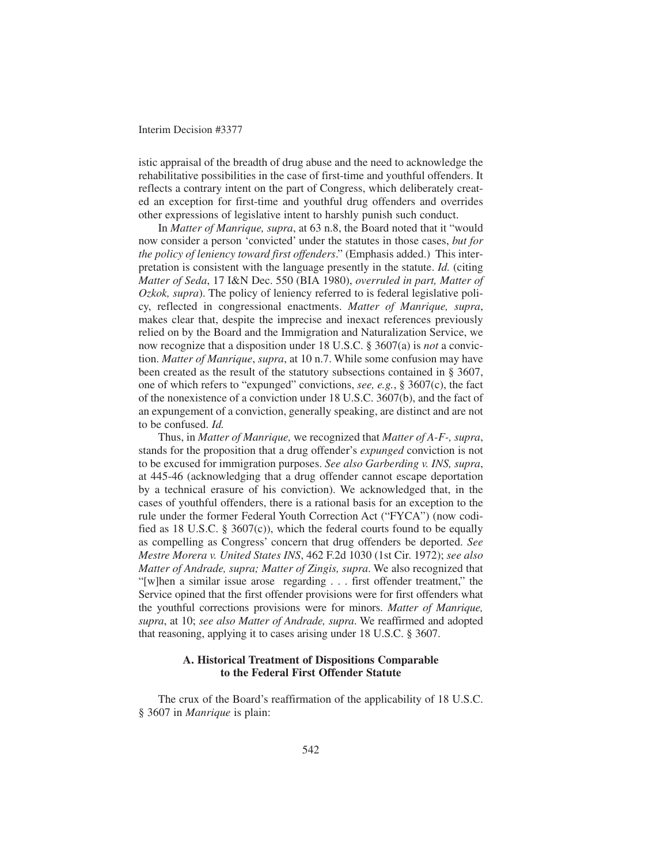istic appraisal of the breadth of drug abuse and the need to acknowledge the rehabilitative possibilities in the case of first-time and youthful offenders. It reflects a contrary intent on the part of Congress, which deliberately created an exception for first-time and youthful drug offenders and overrides other expressions of legislative intent to harshly punish such conduct.

In *Matter of Manrique, supra*, at 63 n.8, the Board noted that it "would now consider a person 'convicted' under the statutes in those cases, *but for the policy of leniency toward first offenders*." (Emphasis added.) This interpretation is consistent with the language presently in the statute. *Id.* (citing *Matter of Seda*, 17 I&N Dec. 550 (BIA 1980), *overruled in part, Matter of Ozkok, supra*). The policy of leniency referred to is federal legislative policy, reflected in congressional enactments. *Matter of Manrique, supra*, makes clear that, despite the imprecise and inexact references previously relied on by the Board and the Immigration and Naturalization Service, we now recognize that a disposition under 18 U.S.C. § 3607(a) is *not* a conviction. *Matter of Manrique*, *supra*, at 10 n.7. While some confusion may have been created as the result of the statutory subsections contained in § 3607, one of which refers to "expunged" convictions, *see, e.g.*, § 3607(c), the fact of the nonexistence of a conviction under 18 U.S.C. 3607(b), and the fact of an expungement of a conviction, generally speaking, are distinct and are not to be confused. *Id.*

Thus, in *Matter of Manrique,* we recognized that *Matter of A-F-, supra*, stands for the proposition that a drug offender's *expunged* conviction is not to be excused for immigration purposes. *See also Garberding v. INS, supra*, at 445-46 (acknowledging that a drug offender cannot escape deportation by a technical erasure of his conviction). We acknowledged that, in the cases of youthful offenders, there is a rational basis for an exception to the rule under the former Federal Youth Correction Act ("FYCA") (now codified as 18 U.S.C. § 3607(c)), which the federal courts found to be equally as compelling as Congress' concern that drug offenders be deported. *See Mestre Morera v. United States INS*, 462 F.2d 1030 (1st Cir. 1972); *see also Matter of Andrade, supra; Matter of Zingis, supra*. We also recognized that "[w]hen a similar issue arose regarding . . . first offender treatment," the Service opined that the first offender provisions were for first offenders what the youthful corrections provisions were for minors. *Matter of Manrique, supra*, at 10; *see also Matter of Andrade, supra*. We reaffirmed and adopted that reasoning, applying it to cases arising under 18 U.S.C. § 3607.

## **A. Historical Treatment of Dispositions Comparable to the Federal First Offender Statute**

The crux of the Board's reaffirmation of the applicability of 18 U.S.C. § 3607 in *Manrique* is plain: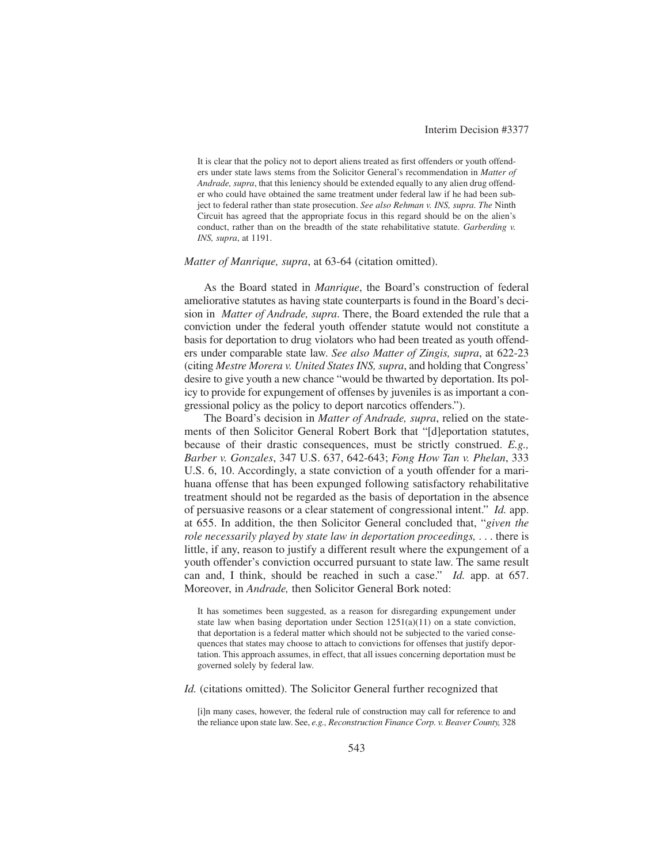It is clear that the policy not to deport aliens treated as first offenders or youth offenders under state laws stems from the Solicitor General's recommendation in *Matter of Andrade, supra*, that this leniency should be extended equally to any alien drug offender who could have obtained the same treatment under federal law if he had been subject to federal rather than state prosecution. *See also Rehman v. INS, supra. The* Ninth Circuit has agreed that the appropriate focus in this regard should be on the alien's conduct, rather than on the breadth of the state rehabilitative statute. *Garberding v. INS, supra*, at 1191.

#### *Matter of Manrique, supra*, at 63-64 (citation omitted).

As the Board stated in *Manrique*, the Board's construction of federal ameliorative statutes as having state counterparts is found in the Board's decision in *Matter of Andrade, supra*. There, the Board extended the rule that a conviction under the federal youth offender statute would not constitute a basis for deportation to drug violators who had been treated as youth offenders under comparable state law. *See also Matter of Zingis, supra*, at 622-23 (citing *Mestre Morera v. United States INS, supra*, and holding that Congress' desire to give youth a new chance "would be thwarted by deportation. Its policy to provide for expungement of offenses by juveniles is as important a congressional policy as the policy to deport narcotics offenders.").

The Board's decision in *Matter of Andrade, supra*, relied on the statements of then Solicitor General Robert Bork that "[d]eportation statutes, because of their drastic consequences, must be strictly construed. *E.g., Barber v. Gonzales*, 347 U.S. 637, 642-643; *Fong How Tan v. Phelan*, 333 U.S. 6, 10. Accordingly, a state conviction of a youth offender for a marihuana offense that has been expunged following satisfactory rehabilitative treatment should not be regarded as the basis of deportation in the absence of persuasive reasons or a clear statement of congressional intent." *Id.* app. at 655. In addition, the then Solicitor General concluded that, "*given the role necessarily played by state law in deportation proceedings,* . . . there is little, if any, reason to justify a different result where the expungement of a youth offender's conviction occurred pursuant to state law. The same result can and, I think, should be reached in such a case." *Id.* app. at 657. Moreover, in *Andrade,* then Solicitor General Bork noted:

It has sometimes been suggested, as a reason for disregarding expungement under state law when basing deportation under Section  $1251(a)(11)$  on a state conviction, that deportation is a federal matter which should not be subjected to the varied consequences that states may choose to attach to convictions for offenses that justify deportation. This approach assumes, in effect, that all issues concerning deportation must be governed solely by federal law.

*Id.* (citations omitted). The Solicitor General further recognized that

[i]n many cases, however, the federal rule of construction may call for reference to and the reliance upon state law. See, *e.g., Reconstruction Finance Corp. v. Beaver County,* 328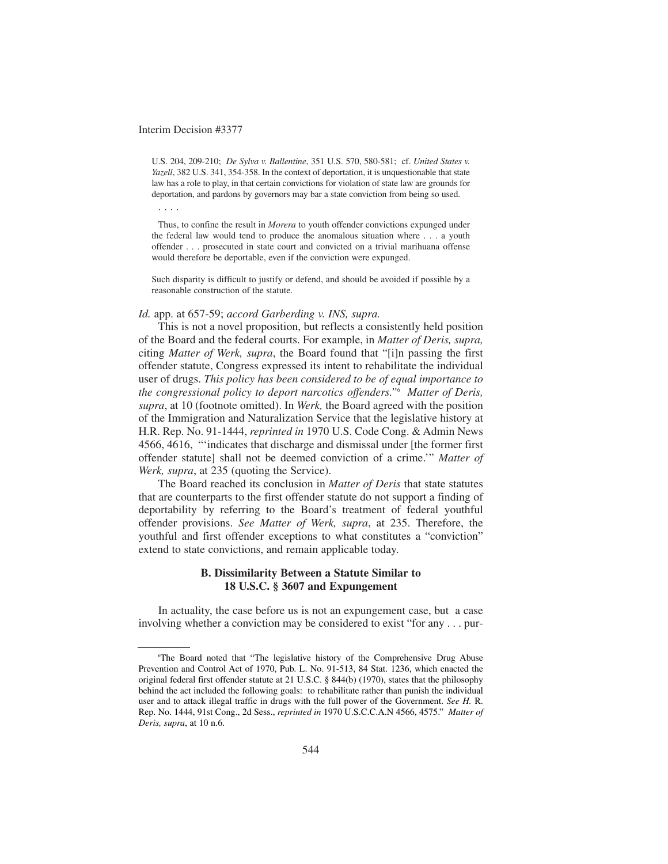. . . .

U.S. 204, 209-210; *De Sylva v. Ballentine*, 351 U.S. 570, 580-581; cf. *United States v. Yazell*, 382 U.S. 341, 354-358. In the context of deportation, it is unquestionable that state law has a role to play, in that certain convictions for violation of state law are grounds for deportation, and pardons by governors may bar a state conviction from being so used.

Thus, to confine the result in *Morera* to youth offender convictions expunged under the federal law would tend to produce the anomalous situation where . . . a youth offender . . . prosecuted in state court and convicted on a trivial marihuana offense would therefore be deportable, even if the conviction were expunged.

Such disparity is difficult to justify or defend, and should be avoided if possible by a reasonable construction of the statute.

### *Id.* app. at 657-59; *accord Garberding v. INS, supra.*

This is not a novel proposition, but reflects a consistently held position of the Board and the federal courts. For example, in *Matter of Deris, supra,* citing *Matter of Werk, supra*, the Board found that "[i]n passing the first offender statute, Congress expressed its intent to rehabilitate the individual user of drugs. *This policy has been considered to be of equal importance to the congressional policy to deport narcotics offenders."*<sup>6</sup> *Matter of Deris, supra*, at 10 (footnote omitted). In *Werk,* the Board agreed with the position of the Immigration and Naturalization Service that the legislative history at H.R. Rep. No. 91-1444, *reprinted in* 1970 U.S. Code Cong. & Admin News 4566, 4616, "'indicates that discharge and dismissal under [the former first offender statute] shall not be deemed conviction of a crime.'" *Matter of Werk, supra*, at 235 (quoting the Service).

The Board reached its conclusion in *Matter of Deris* that state statutes that are counterparts to the first offender statute do not support a finding of deportability by referring to the Board's treatment of federal youthful offender provisions. *See Matter of Werk, supra*, at 235. Therefore, the youthful and first offender exceptions to what constitutes a "conviction" extend to state convictions, and remain applicable today.

## **B. Dissimilarity Between a Statute Similar to 18 U.S.C. § 3607 and Expungement**

In actuality, the case before us is not an expungement case, but a case involving whether a conviction may be considered to exist "for any . . . pur-

<sup>6</sup> The Board noted that "The legislative history of the Comprehensive Drug Abuse Prevention and Control Act of 1970, Pub. L. No. 91-513, 84 Stat. 1236, which enacted the original federal first offender statute at 21 U.S.C. § 844(b) (1970), states that the philosophy behind the act included the following goals: to rehabilitate rather than punish the individual user and to attack illegal traffic in drugs with the full power of the Government. *See H.* R. Rep. No. 1444, 91st Cong., 2d Sess., *reprinted in* 1970 U.S.C.C.A.N 4566, 4575." *Matter of Deris, supra*, at 10 n.6.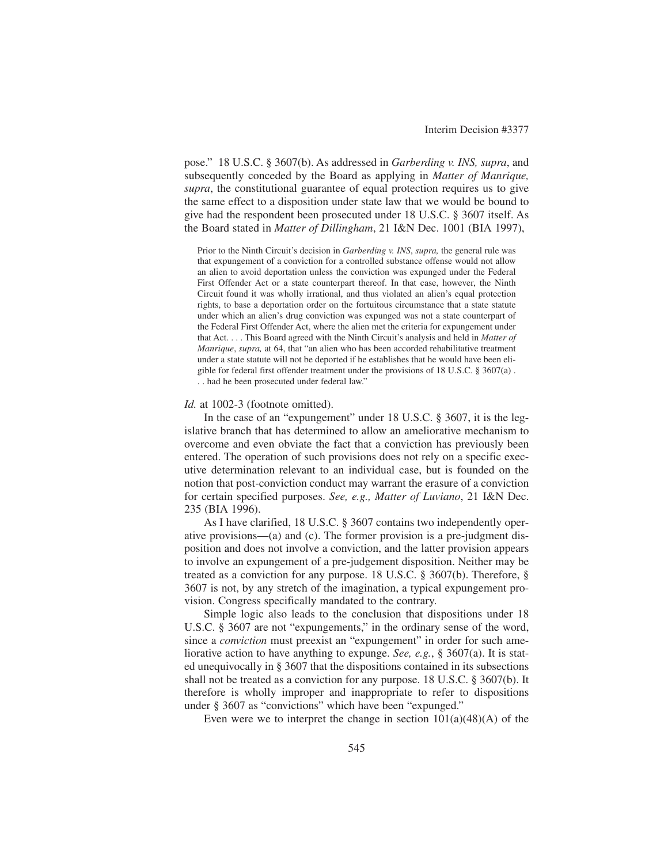pose." 18 U.S.C. § 3607(b). As addressed in *Garberding v. INS, supra*, and subsequently conceded by the Board as applying in *Matter of Manrique, supra*, the constitutional guarantee of equal protection requires us to give the same effect to a disposition under state law that we would be bound to give had the respondent been prosecuted under 18 U.S.C. § 3607 itself. As the Board stated in *Matter of Dillingham*, 21 I&N Dec. 1001 (BIA 1997),

Prior to the Ninth Circuit's decision in *Garberding v. INS*, *supra,* the general rule was that expungement of a conviction for a controlled substance offense would not allow an alien to avoid deportation unless the conviction was expunged under the Federal First Offender Act or a state counterpart thereof. In that case, however, the Ninth Circuit found it was wholly irrational, and thus violated an alien's equal protection rights, to base a deportation order on the fortuitous circumstance that a state statute under which an alien's drug conviction was expunged was not a state counterpart of the Federal First Offender Act, where the alien met the criteria for expungement under that Act. . . . This Board agreed with the Ninth Circuit's analysis and held in *Matter of Manrique*, *supra,* at 64, that "an alien who has been accorded rehabilitative treatment under a state statute will not be deported if he establishes that he would have been eligible for federal first offender treatment under the provisions of 18 U.S.C. § 3607(a) . . . had he been prosecuted under federal law."

#### *Id.* at 1002-3 (footnote omitted).

In the case of an "expungement" under 18 U.S.C. § 3607, it is the legislative branch that has determined to allow an ameliorative mechanism to overcome and even obviate the fact that a conviction has previously been entered. The operation of such provisions does not rely on a specific executive determination relevant to an individual case, but is founded on the notion that post-conviction conduct may warrant the erasure of a conviction for certain specified purposes. *See, e.g., Matter of Luviano*, 21 I&N Dec. 235 (BIA 1996).

As I have clarified, 18 U.S.C. § 3607 contains two independently operative provisions—(a) and (c). The former provision is a pre-judgment disposition and does not involve a conviction, and the latter provision appears to involve an expungement of a pre-judgement disposition. Neither may be treated as a conviction for any purpose. 18 U.S.C. § 3607(b). Therefore, § 3607 is not, by any stretch of the imagination, a typical expungement provision. Congress specifically mandated to the contrary.

Simple logic also leads to the conclusion that dispositions under 18 U.S.C. § 3607 are not "expungements," in the ordinary sense of the word, since a *conviction* must preexist an "expungement" in order for such ameliorative action to have anything to expunge. *See, e.g.*, § 3607(a). It is stated unequivocally in § 3607 that the dispositions contained in its subsections shall not be treated as a conviction for any purpose. 18 U.S.C. § 3607(b). It therefore is wholly improper and inappropriate to refer to dispositions under § 3607 as "convictions" which have been "expunged."

Even were we to interpret the change in section  $101(a)(48)(A)$  of the